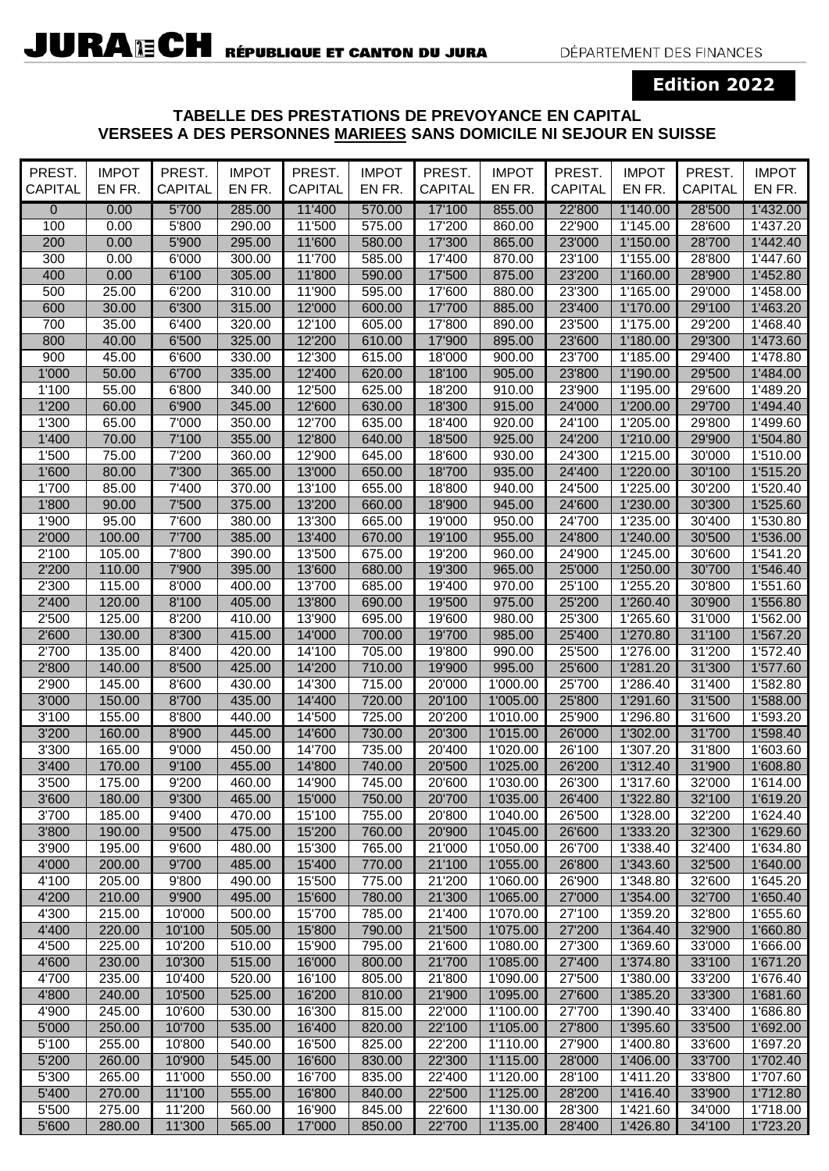## **Edition 2022**

## **TABELLE DES PRESTATIONS DE PREVOYANCE EN CAPITAL VERSEES A DES PERSONNES MARIEES SANS DOMICILE NI SEJOUR EN SUISSE**

| PREST.<br><b>CAPITAL</b> | <b>IMPOT</b><br>EN FR. | PREST.<br>CAPITAL | <b>IMPOT</b><br>EN FR. | PREST.<br><b>CAPITAL</b> | <b>IMPOT</b><br>EN FR. | PREST.<br>CAPITAL | <b>IMPOT</b><br>EN FR. | PREST.<br><b>CAPITAL</b> | <b>IMPOT</b><br>EN FR. | PREST.<br><b>CAPITAL</b> | <b>IMPOT</b><br>EN FR. |
|--------------------------|------------------------|-------------------|------------------------|--------------------------|------------------------|-------------------|------------------------|--------------------------|------------------------|--------------------------|------------------------|
| $\mathbf 0$              | 0.00                   | 5'700             | 285.00                 | 11'400                   | 570.00                 | 17'100            | 855.00                 | 22'800                   | 1'140.00               | 28'500                   | 1'432.00               |
| 100                      | 0.00                   | 5'800             | 290.00                 | 11'500                   | 575.00                 | 17'200            | 860.00                 | 22'900                   | 1'145.00               | 28'600                   | 1'437.20               |
| 200                      | 0.00                   | 5'900             | 295.00                 | 11'600                   | 580.00                 | 17'300            | 865.00                 | 23'000                   | 1'150.00               | 28'700                   | 1'442.40               |
| 300                      | 0.00                   | 6'000             | 300.00                 | 11'700                   | 585.00                 | 17'400            | 870.00                 | 23'100                   | 1'155.00               | 28'800                   | 1'447.60               |
| 400                      | 0.00                   | 6'100             | 305.00                 | 11'800                   | 590.00                 | 17'500            | 875.00                 | 23'200                   | 1'160.00               | 28'900                   | 1'452.80               |
| 500                      | 25.00                  | 6'200             | 310.00                 | 11'900                   | 595.00                 | 17'600            | 880.00                 | 23'300                   | 1'165.00               | 29'000                   | 1'458.00               |
| 600                      | 30.00                  | 6'300             | 315.00                 | 12'000                   | 600.00                 | 17'700            | 885.00                 | 23'400                   | 1'170.00               | 29'100                   | 1'463.20               |
| 700                      | 35.00                  | 6'400             | 320.00                 | 12'100                   | 605.00                 | 17'800            | 890.00                 | 23'500                   | 1'175.00               | 29'200                   | 1'468.40               |
| 800                      | 40.00                  | 6'500             | 325.00                 | 12'200                   | 610.00                 | 17'900            | 895.00                 | 23'600                   | 1'180.00               | 29'300                   | 1'473.60               |
| 900                      | 45.00                  | 6'600             | 330.00                 | 12'300                   | 615.00                 | 18'000            | 900.00                 | 23'700                   | 1'185.00               | 29'400                   | 1'478.80               |
| 1'000                    | 50.00                  | 6'700             | 335.00                 | 12'400                   | 620.00                 | 18'100            | 905.00                 | 23'800                   | 1'190.00               | 29'500                   | 1'484.00               |
| 1'100                    | 55.00                  | 6'800             | 340.00                 | 12'500                   | 625.00                 | 18'200            | 910.00                 | 23'900                   | 1'195.00               | 29'600                   | 1'489.20               |
| 1'200                    | 60.00                  | 6'900             | 345.00                 | 12'600                   | 630.00                 | 18'300            | 915.00                 | 24'000                   | 1'200.00               | 29'700                   | 1'494.40               |
| 1'300                    | 65.00                  | 7'000             | 350.00                 | 12'700                   | 635.00                 | 18'400            | 920.00                 | 24'100                   | 1'205.00               | 29'800                   | 1'499.60               |
| 1'400                    | 70.00                  | 7'100             | 355.00                 | 12'800                   | 640.00                 | 18'500            | 925.00                 | 24'200                   | 1'210.00               | 29'900                   | 1'504.80               |
| 1'500                    | 75.00                  | 7'200             | 360.00                 | 12'900                   | 645.00                 | 18'600            | 930.00                 | 24'300                   | 1'215.00               | 30'000                   | 1'510.00               |
| 1'600                    | 80.00                  | 7'300             | 365.00                 | 13'000                   | 650.00                 | 18'700            | 935.00                 | 24'400                   | 1'220.00               | 30'100                   | 1'515.20               |
| 1'700                    | 85.00                  | 7'400             | 370.00                 | 13'100                   | 655.00                 | 18'800            | 940.00                 | 24'500                   | 1'225.00               | 30'200                   | 1'520.40               |
| 1'800                    | 90.00                  | 7'500             | 375.00                 | 13'200                   | 660.00                 | 18'900            | 945.00                 | 24'600                   | 1'230.00               | 30'300                   | 1'525.60               |
| 1'900                    | 95.00                  | 7'600             | 380.00                 | 13'300                   | 665.00                 | 19'000            | 950.00                 | 24'700                   | 1'235.00               | 30'400                   | 1'530.80               |
| 2'000                    | 100.00                 | 7'700             | 385.00                 | 13'400                   | 670.00                 | 19'100            | 955.00                 | 24'800                   | 1'240.00               | 30'500                   | 1'536.00               |
| 2'100                    | 105.00                 | 7'800             | 390.00                 | 13'500                   | 675.00                 | 19'200            | 960.00                 | 24'900                   | 1'245.00               | 30'600                   | 1'541.20               |
| 2'200                    | 110.00                 | 7'900             | 395.00                 | 13'600                   | 680.00                 | 19'300            | 965.00                 | 25'000                   | 1'250.00               | 30'700                   | 1'546.40               |
| 2'300                    | 115.00                 | 8'000             | 400.00                 | 13'700                   | 685.00                 | 19'400            | 970.00                 | 25'100                   | 1'255.20               | 30'800                   | 1'551.60               |
| 2'400                    | 120.00                 | 8'100             | 405.00                 | 13'800                   | 690.00                 | 19'500            | 975.00                 | 25'200                   | 1'260.40               | 30'900                   | 1'556.80               |
| 2'500                    | 125.00                 | 8'200             | 410.00                 | 13'900                   | 695.00                 | 19'600            | 980.00                 | 25'300                   | 1'265.60               | 31'000                   | 1'562.00               |
| 2'600                    | 130.00                 | 8'300             | 415.00                 | 14'000                   | 700.00                 | 19'700            | 985.00                 | 25'400                   | 1'270.80               | 31'100                   | 1'567.20               |
| 2'700                    | 135.00                 | 8'400             | 420.00                 | 14'100                   | 705.00                 | 19'800            | 990.00                 | 25'500                   | 1'276.00               | 31'200                   | 1'572.40               |
| 2'800                    | 140.00                 | 8'500             | 425.00                 | 14'200                   | 710.00                 | 19'900            | 995.00                 | 25'600                   | 1'281.20               | 31'300                   | 1'577.60               |
| 2'900                    | 145.00                 | 8'600             | 430.00                 | 14'300                   | 715.00                 | 20'000            | 1'000.00               | 25'700                   | 1'286.40               | 31'400                   | 1'582.80               |
| 3'000                    | 150.00                 | 8'700             | 435.00                 | 14'400                   | 720.00                 | 20'100            | 1'005.00               | 25'800                   | 1'291.60               | 31'500                   | 1'588.00               |
| 3'100                    | 155.00                 | 8'800             | 440.00                 | 14'500                   | 725.00                 | 20'200            | 1'010.00               | 25'900                   | 1'296.80               | 31'600                   | 1'593.20               |
| 3'200                    | 160.00                 | 8'900             | 445.00                 | 14'600                   | 730.00                 | 20'300            | 1'015.00               | 26'000                   | 1'302.00               | 31'700                   | 1'598.40               |
| 3'300                    | 165.00                 | 9'000             | 450.00                 | 14'700                   | 735.00                 | 20'400            | 1'020.00               | 26'100                   | 1'307.20               | 31'800                   | 1'603.60               |
| 3'400                    | 170.00                 | 9'100             | 455.00                 | 14'800                   | 740.00                 | 20'500            | 1'025.00               | 26'200                   | 1'312.40               | 31'900                   | 1'608.80               |
| 3'500                    | 175.00                 | 9'200             | 460.00                 | 14'900                   | 745.00                 | 20'600            | 1'030.00               | 26'300                   | 1'317.60               | 32'000                   | 1'614.00               |
| 3'600                    | 180.00                 | 9'300             | 465.00                 | 15'000                   | 750.00                 | 20'700            | 1'035.00               | 26'400                   | 1'322.80               | 32'100                   | 1'619.20               |
| 3'700                    | 185.00                 | 9'400             | 470.00                 | 15'100                   | 755.00                 | 20'800            | 1'040.00               | 26'500                   | 1'328.00               | 32'200                   | 1'624.40               |
| 3'800                    | 190.00                 | 9'500             | 475.00                 | 15'200                   | 760.00                 | 20'900            | 1'045.00               | 26'600                   | 1'333.20               | 32'300                   | 1'629.60               |
| 3'900                    | 195.00                 | 9'600             | 480.00                 | 15'300                   | 765.00                 | 21'000            | 1'050.00               | 26'700                   | 1'338.40               | 32'400                   | 1'634.80               |
| 4'000                    | 200.00                 | 9'700             | 485.00                 | 15'400                   | 770.00                 | 21'100            | 1'055.00               | 26'800                   | 1'343.60               | 32'500                   | 1'640.00               |
| 4'100                    | 205.00                 | 9'800             | 490.00                 | 15'500                   | 775.00                 | 21'200            | 1'060.00               | 26'900                   | 1'348.80               | 32'600                   | 1'645.20               |
| 4'200                    | 210.00                 | 9'900             | 495.00                 | 15'600                   | 780.00                 | 21'300            | 1'065.00               | 27'000                   | 1'354.00               | 32'700                   | 1'650.40               |
| 4'300                    | 215.00                 | 10'000            | 500.00                 | 15'700                   | 785.00                 | 21'400            | 1'070.00               | 27'100                   | 1'359.20               | 32'800                   | 1'655.60               |
| 4'400                    | 220.00                 | 10'100            | 505.00                 | 15'800                   | 790.00                 | 21'500            | 1'075.00               | 27'200                   | 1'364.40               | 32'900                   | 1'660.80               |
| 4'500                    | 225.00                 | 10'200            | 510.00                 | 15'900                   | 795.00                 | 21'600            | 1'080.00               | 27'300                   | 1'369.60               | 33'000                   | 1'666.00               |
| 4'600                    | 230.00                 | 10'300            | 515.00                 | 16'000                   | 800.00                 | 21'700            | 1'085.00               | 27'400                   | 1'374.80               | 33'100                   | 1'671.20               |
| 4'700                    | 235.00                 | 10'400            | 520.00                 | 16'100                   | 805.00                 | 21'800            | 1'090.00               | 27'500                   | 1'380.00               | 33'200                   | 1'676.40               |
| 4'800                    | 240.00                 | 10'500            | 525.00                 | 16'200                   | 810.00                 | 21'900            | 1'095.00               | 27'600                   | 1'385.20               | 33'300                   | 1'681.60               |
| 4'900                    | 245.00                 | 10'600            | 530.00                 | 16'300                   | 815.00                 | 22'000            | 1'100.00               | 27'700                   | 1'390.40               | 33'400                   | 1'686.80               |
| 5'000                    | 250.00                 | 10'700            | 535.00                 | 16'400                   | 820.00                 | 22'100            | 1'105.00               | 27'800                   | 1'395.60               | 33'500                   | 1'692.00               |
| 5'100                    | 255.00                 | 10'800            | 540.00                 | 16'500                   | 825.00                 | 22'200            | 1'110.00               | 27'900                   | 1'400.80               | 33'600                   | 1'697.20               |
| 5'200                    | 260.00                 | 10'900            | 545.00                 | 16'600                   | 830.00                 | 22'300            | 1'115.00               | 28'000                   | 1'406.00               | 33'700                   | 1'702.40               |
| 5'300<br>5'400           | 265.00                 | 11'000<br>11'100  | 550.00<br>555.00       | 16'700<br>16'800         | 835.00<br>840.00       | 22'400            | 1'120.00<br>1'125.00   | 28'100                   | 1'411.20               | 33'800<br>33'900         | 1'707.60               |
| 5'500                    | 270.00<br>275.00       | 11'200            | 560.00                 | 16'900                   | 845.00                 | 22'500<br>22'600  | 1'130.00               | 28'200<br>28'300         | 1'416.40<br>1'421.60   | 34'000                   | 1'712.80<br>1'718.00   |
| 5'600                    | 280.00                 | 11'300            | 565.00                 | 17'000                   | 850.00                 | 22'700            | 1'135.00               | 28'400                   | 1'426.80               | 34'100                   | 1'723.20               |
|                          |                        |                   |                        |                          |                        |                   |                        |                          |                        |                          |                        |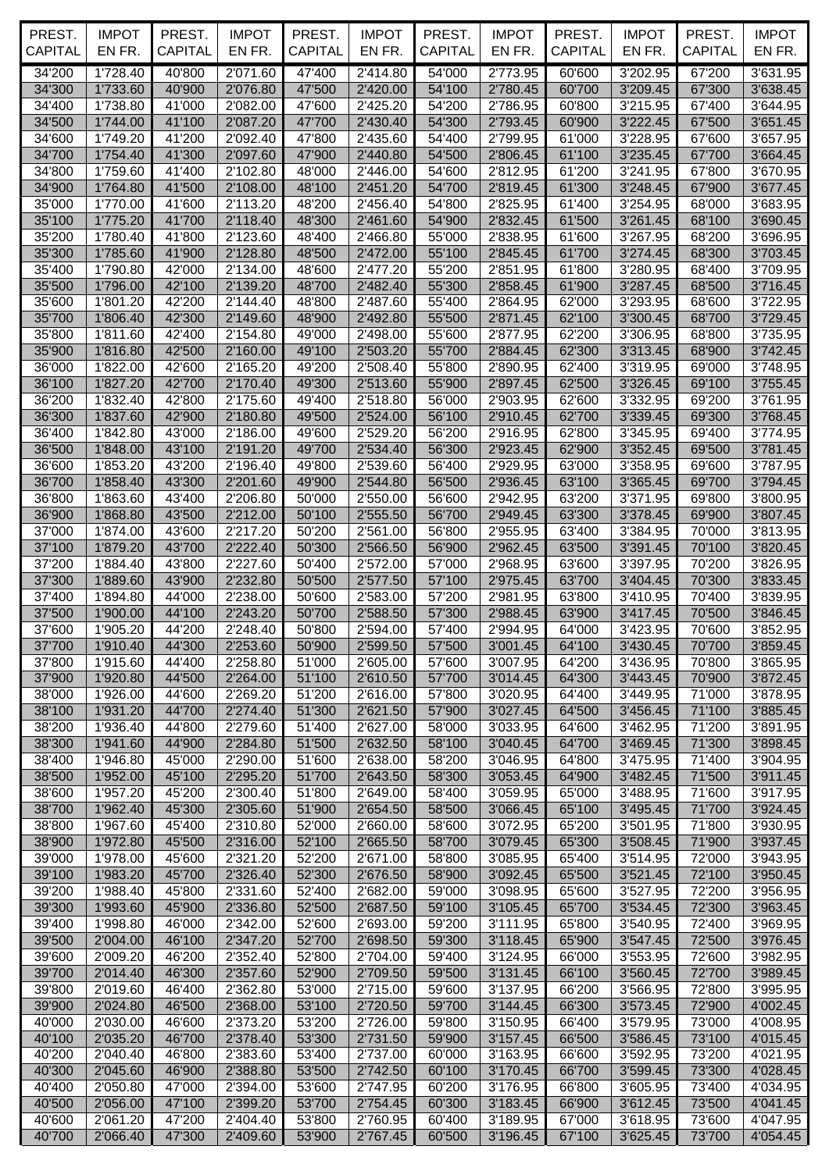| PREST.<br><b>CAPITAL</b> | <b>IMPOT</b><br>EN FR. | PREST.<br><b>CAPITAL</b> | <b>IMPOT</b><br>EN FR. | PREST.<br><b>CAPITAL</b> | <b>IMPOT</b><br>EN FR. | PREST.<br><b>CAPITAL</b> | <b>IMPOT</b><br>EN FR. | PREST.<br>CAPITAL | <b>IMPOT</b><br>EN FR. | PREST.<br><b>CAPITAL</b> | <b>IMPOT</b><br>EN FR. |
|--------------------------|------------------------|--------------------------|------------------------|--------------------------|------------------------|--------------------------|------------------------|-------------------|------------------------|--------------------------|------------------------|
| 34'200                   |                        |                          |                        |                          | 2'414.80               |                          | 2'773.95               |                   |                        |                          |                        |
| 34'300                   | 1'728.40<br>1'733.60   | 40'800<br>40'900         | 2'071.60<br>2'076.80   | 47'400<br>47'500         | 2'420.00               | 54'000<br>54'100         | 2'780.45               | 60'600<br>60'700  | 3'202.95<br>3'209.45   | 67'200<br>67'300         | 3'631.95<br>3'638.45   |
| 34'400                   | 1'738.80               | 41'000                   | 2'082.00               | 47'600                   | 2'425.20               | 54'200                   | 2'786.95               | 60'800            | 3'215.95               | 67'400                   | 3'644.95               |
| 34'500                   | 1'744.00               | 41'100                   | 2'087.20               | 47'700                   | 2'430.40               | 54'300                   | 2'793.45               | 60'900            | 3'222.45               | 67'500                   | 3'651.45               |
| 34'600                   | 1'749.20               | 41'200                   | 2'092.40               | 47'800                   | 2'435.60               | 54'400                   | 2'799.95               | 61'000            | 3'228.95               | 67'600                   | 3'657.95               |
| 34'700                   | 1'754.40               | 41'300                   | 2'097.60               | 47'900                   | 2'440.80               | 54'500                   | 2'806.45               | 61'100            | 3'235.45               | 67'700                   | 3'664.45               |
| 34'800                   | 1'759.60               | 41'400                   | 2'102.80               | 48'000                   | 2'446.00               | 54'600                   | 2'812.95               | 61'200            | 3'241.95               | 67'800                   | 3'670.95               |
| 34'900                   | 1'764.80               | 41'500                   | 2'108.00               | 48'100                   | 2'451.20               | 54'700                   | 2'819.45               | 61'300            | 3'248.45               | 67'900                   | 3'677.45               |
| 35'000<br>35'100         | 1'770.00<br>1'775.20   | 41'600<br>41'700         | 2'113.20<br>2'118.40   | 48'200<br>48'300         | 2'456.40<br>2'461.60   | 54'800<br>54'900         | 2'825.95<br>2'832.45   | 61'400<br>61'500  | 3'254.95<br>3'261.45   | 68'000<br>68'100         | 3'683.95<br>3'690.45   |
| 35'200                   | 1'780.40               | 41'800                   | 2'123.60               | 48'400                   | 2'466.80               | 55'000                   | 2'838.95               | 61'600            | 3'267.95               | 68'200                   | 3'696.95               |
| 35'300                   | 1'785.60               | 41'900                   | 2'128.80               | 48'500                   | 2'472.00               | 55'100                   | 2'845.45               | 61'700            | 3'274.45               | 68'300                   | 3'703.45               |
| 35'400                   | 1'790.80               | 42'000                   | 2'134.00               | 48'600                   | 2'477.20               | 55'200                   | 2'851.95               | 61'800            | 3'280.95               | 68'400                   | 3'709.95               |
| 35'500                   | 1'796.00               | 42'100                   | 2'139.20               | 48'700                   | 2'482.40               | 55'300                   | 2'858.45               | 61'900            | 3'287.45               | 68'500                   | 3'716.45               |
| 35'600                   | 1'801.20               | 42'200                   | 2'144.40               | 48'800                   | 2'487.60               | 55'400                   | 2'864.95               | 62'000            | 3'293.95               | 68'600                   | 3'722.95               |
| 35'700                   | 1'806.40               | 42'300                   | 2'149.60               | 48'900                   | 2'492.80               | 55'500                   | 2'871.45               | 62'100            | 3'300.45               | 68'700                   | 3'729.45               |
| 35'800                   | 1'811.60               | 42'400                   | 2'154.80               | 49'000                   | 2'498.00               | 55'600                   | 2'877.95               | 62'200            | 3'306.95               | 68'800                   | 3'735.95               |
| 35'900                   | 1'816.80<br>1'822.00   | 42'500                   | 2'160.00               | 49'100                   | 2'503.20<br>2'508.40   | 55'700                   | 2'884.45               | 62'300            | 3'313.45               | 68'900                   | 3'742.45               |
| 36'000<br>36'100         | 1'827.20               | 42'600<br>42'700         | 2'165.20<br>2'170.40   | 49'200<br>49'300         | 2'513.60               | 55'800<br>55'900         | 2'890.95<br>2'897.45   | 62'400<br>62'500  | 3'319.95<br>3'326.45   | 69'000<br>69'100         | 3'748.95<br>3'755.45   |
| 36'200                   | 1'832.40               | 42'800                   | 2'175.60               | 49'400                   | 2'518.80               | 56'000                   | 2'903.95               | 62'600            | 3'332.95               | 69'200                   | 3'761.95               |
| 36'300                   | 1'837.60               | 42'900                   | 2'180.80               | 49'500                   | 2'524.00               | 56'100                   | 2'910.45               | 62'700            | 3'339.45               | 69'300                   | 3'768.45               |
| 36'400                   | 1'842.80               | 43'000                   | 2'186.00               | 49'600                   | 2'529.20               | 56'200                   | 2'916.95               | 62'800            | 3'345.95               | 69'400                   | 3'774.95               |
| 36'500                   | 1'848.00               | 43'100                   | 2'191.20               | 49'700                   | 2'534.40               | 56'300                   | 2'923.45               | 62'900            | 3'352.45               | 69'500                   | 3'781.45               |
| 36'600                   | 1'853.20               | 43'200                   | 2'196.40               | 49'800                   | 2'539.60               | 56'400                   | 2'929.95               | 63'000            | 3'358.95               | 69'600                   | 3'787.95               |
| 36'700                   | 1'858.40               | 43'300                   | 2'201.60               | 49'900                   | 2'544.80               | 56'500                   | 2'936.45               | 63'100            | 3'365.45               | 69'700                   | 3'794.45               |
| 36'800                   | 1'863.60               | 43'400                   | 2'206.80               | 50'000                   | 2'550.00               | 56'600                   | 2'942.95               | 63'200            | 3'371.95               | 69'800                   | 3'800.95               |
| 36'900<br>37'000         | 1'868.80<br>1'874.00   | 43'500<br>43'600         | 2'212.00<br>2'217.20   | 50'100<br>50'200         | 2'555.50<br>2'561.00   | 56'700<br>56'800         | 2'949.45<br>2'955.95   | 63'300<br>63'400  | 3'378.45<br>3'384.95   | 69'900<br>70'000         | 3'807.45<br>3'813.95   |
| 37'100                   | 1'879.20               | 43'700                   | 2'222.40               | 50'300                   | 2'566.50               | 56'900                   | 2'962.45               | 63'500            | 3'391.45               | 70'100                   | 3'820.45               |
| 37'200                   | 1'884.40               | 43'800                   | 2'227.60               | 50'400                   | 2'572.00               | 57'000                   | 2'968.95               | 63'600            | 3'397.95               | 70'200                   | 3'826.95               |
| 37'300                   | 1'889.60               | 43'900                   | 2'232.80               | 50'500                   | 2'577.50               | 57'100                   | 2'975.45               | 63'700            | 3'404.45               | 70'300                   | 3'833.45               |
| 37'400                   | 1'894.80               | 44'000                   | 2'238.00               | 50'600                   | 2'583.00               | 57'200                   | 2'981.95               | 63'800            | 3'410.95               | 70'400                   | 3'839.95               |
| 37'500                   | 1'900.00               | 44'100                   | 2'243.20               | 50'700                   | 2'588.50               | 57'300                   | 2'988.45               | 63'900            | 3'417.45               | 70'500                   | 3'846.45               |
| 37'600                   | 1'905.20               | 44'200                   | 2'248.40               | 50'800                   | 2'594.00               | 57'400                   | 2'994.95               | 64'000            | 3'423.95               | 70'600                   | 3'852.95               |
| 37'700                   | 1'910.40               | 44'300                   | 2'253.60               | 50'900                   | 2'599.50               | 57'500                   | 3'001.45               | 64'100            | 3'430.45               | 70'700                   | 3'859.45               |
| 37'800<br>37'900         | 1'915.60<br>1'920.80   | 44'400<br>44'500         | 2'258.80<br>2'264.00   | 51'000<br>51'100         | 2'605.00<br>2'610.50   | 57'600<br>57'700         | 3'007.95<br>3'014.45   | 64'200<br>64'300  | 3'436.95<br>3'443.45   | 70'800<br>70'900         | 3'865.95<br>3'872.45   |
| 38'000                   | 1'926.00               | 44'600                   | 2'269.20               | 51'200                   | 2'616.00               | 57'800                   | 3'020.95               | 64'400            | 3'449.95               | 71'000                   | 3'878.95               |
| 38'100                   | 1'931.20               | 44'700                   | 2'274.40               | 51'300                   | 2'621.50               | 57'900                   | 3'027.45               | 64'500            | 3'456.45               | 71'100                   | 3'885.45               |
| 38'200                   | 1'936.40               | 44'800                   | 2'279.60               | 51'400                   | 2'627.00               | 58'000                   | 3'033.95               | 64'600            | 3'462.95               | 71'200                   | 3'891.95               |
| 38'300                   | 1'941.60               | 44'900                   | 2'284.80               | 51'500                   | 2'632.50               | 58'100                   | 3'040.45               | 64'700            | 3'469.45               | 71'300                   | 3'898.45               |
| 38'400                   | 1'946.80               | 45'000                   | 2'290.00               | 51'600                   | 2'638.00               | 58'200                   | 3'046.95               | 64'800            | 3'475.95               | 71'400                   | 3'904.95               |
| 38'500                   | 1'952.00               | 45'100                   | 2'295.20               | 51'700                   | 2'643.50               | 58'300                   | 3'053.45               | 64'900            | 3'482.45               | 71'500                   | 3'911.45               |
| 38'600                   | 1'957.20               | 45'200                   | 2'300.40               | 51'800                   | 2'649.00               | 58'400                   | 3'059.95               | 65'000<br>65'100  | 3'488.95               | 71'600                   | 3'917.95               |
| 38'700<br>38'800         | 1'962.40<br>1'967.60   | 45'300<br>45'400         | 2'305.60<br>2'310.80   | 51'900<br>52'000         | 2'654.50<br>2'660.00   | 58'500<br>58'600         | 3'066.45<br>3'072.95   | 65'200            | 3'495.45<br>3'501.95   | 71'700<br>71'800         | 3'924.45<br>3'930.95   |
| 38'900                   | 1'972.80               | 45'500                   | 2'316.00               | 52'100                   | 2'665.50               | 58'700                   | 3'079.45               | 65'300            | 3'508.45               | 71'900                   | 3'937.45               |
| 39'000                   | 1'978.00               | 45'600                   | 2'321.20               | 52'200                   | 2'671.00               | 58'800                   | 3'085.95               | 65'400            | 3'514.95               | 72'000                   | 3'943.95               |
| 39'100                   | 1'983.20               | 45'700                   | 2'326.40               | 52'300                   | 2'676.50               | 58'900                   | 3'092.45               | 65'500            | 3'521.45               | 72'100                   | 3'950.45               |
| 39'200                   | 1'988.40               | 45'800                   | 2'331.60               | 52'400                   | 2'682.00               | 59'000                   | 3'098.95               | 65'600            | 3'527.95               | 72'200                   | 3'956.95               |
| 39'300                   | 1'993.60               | 45'900                   | 2'336.80               | 52'500                   | 2'687.50               | 59'100                   | 3'105.45               | 65'700            | 3'534.45               | 72'300                   | 3'963.45               |
| 39'400                   | 1'998.80               | 46'000                   | 2'342.00               | 52'600                   | 2'693.00               | 59'200                   | 3'111.95               | 65'800            | 3'540.95               | 72'400                   | 3'969.95               |
| 39'500<br>39'600         | 2'004.00<br>2'009.20   | 46'100<br>46'200         | 2'347.20<br>2'352.40   | 52'700<br>52'800         | 2'698.50<br>2'704.00   | 59'300<br>59'400         | 3'118.45<br>3'124.95   | 65'900<br>66'000  | 3'547.45<br>3'553.95   | 72'500<br>72'600         | 3'976.45<br>3'982.95   |
| 39'700                   | 2'014.40               | 46'300                   | 2'357.60               | 52'900                   | 2'709.50               | 59'500                   | 3'131.45               | 66'100            | 3'560.45               | 72'700                   | 3'989.45               |
| 39'800                   | 2'019.60               | 46'400                   | 2'362.80               | 53'000                   | 2'715.00               | 59'600                   | 3'137.95               | 66'200            | 3'566.95               | 72'800                   | 3'995.95               |
| 39'900                   | 2'024.80               | 46'500                   | 2'368.00               | 53'100                   | 2'720.50               | 59'700                   | 3'144.45               | 66'300            | 3'573.45               | 72'900                   | 4'002.45               |
| 40'000                   | 2'030.00               | 46'600                   | 2'373.20               | 53'200                   | 2'726.00               | 59'800                   | 3'150.95               | 66'400            | 3'579.95               | 73'000                   | 4'008.95               |
| 40'100                   | 2'035.20               | 46'700                   | 2'378.40               | 53'300                   | 2'731.50               | 59'900                   | 3'157.45               | 66'500            | 3'586.45               | 73'100                   | 4'015.45               |
| 40'200                   | 2'040.40               | 46'800                   | 2'383.60               | 53'400                   | 2'737.00               | 60'000                   | 3'163.95               | 66'600            | 3'592.95               | 73'200                   | 4'021.95               |
| 40'300                   | 2'045.60               | 46'900                   | 2'388.80               | 53'500                   | 2'742.50               | 60'100                   | 3'170.45               | 66'700            | 3'599.45               | 73'300                   | 4'028.45               |
| 40'400<br>40'500         | 2'050.80<br>2'056.00   | 47'000<br>47'100         | 2'394.00<br>2'399.20   | 53'600<br>53'700         | 2'747.95<br>2'754.45   | 60'200<br>60'300         | 3'176.95<br>3'183.45   | 66'800<br>66'900  | 3'605.95<br>3'612.45   | 73'400<br>73'500         | 4'034.95<br>4'041.45   |
| 40'600                   | 2'061.20               | 47'200                   | 2'404.40               | 53'800                   | 2'760.95               | 60'400                   | 3'189.95               | 67'000            | 3'618.95               | 73'600                   | 4'047.95               |
| 40'700                   | 2'066.40               | 47'300                   | 2'409.60               | 53'900                   | 2'767.45               | 60'500                   | 3'196.45               | 67'100            | 3'625.45               | 73'700                   | 4'054.45               |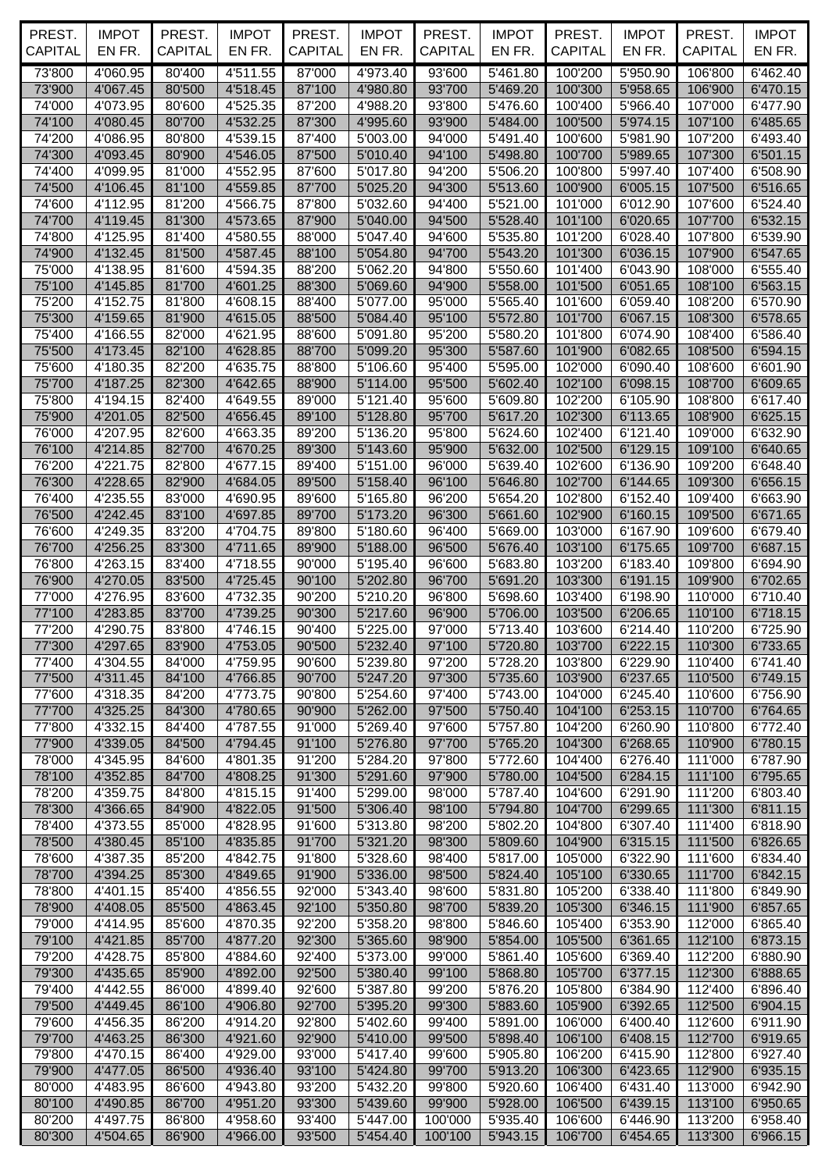| PREST.<br><b>CAPITAL</b> | <b>IMPOT</b><br>EN FR. | PREST.<br><b>CAPITAL</b> | <b>IMPOT</b><br>EN FR. | PREST.<br><b>CAPITAL</b> | <b>IMPOT</b><br>EN FR. | PREST.<br><b>CAPITAL</b> | <b>IMPOT</b><br>EN FR. | PREST.<br>CAPITAL  | <b>IMPOT</b><br>EN FR. | PREST.<br><b>CAPITAL</b> | <b>IMPOT</b><br>EN FR. |
|--------------------------|------------------------|--------------------------|------------------------|--------------------------|------------------------|--------------------------|------------------------|--------------------|------------------------|--------------------------|------------------------|
| 73'800                   | 4'060.95               | 80'400                   | 4'511.55               | 87'000                   | 4'973.40               | 93'600                   | 5'461.80               | 100'200            | 5'950.90               | 106'800                  | 6'462.40               |
| 73'900                   | 4'067.45               | 80'500                   | 4'518.45               | 87'100                   | 4'980.80               | 93'700                   | 5'469.20               | 100'300            | 5'958.65               | 106'900                  | 6'470.15               |
| 74'000                   | 4'073.95               | 80'600                   | 4'525.35               | 87'200                   | 4'988.20               | 93'800                   | 5'476.60               | 100'400            | 5'966.40               | 107'000                  | 6'477.90               |
| 74'100                   | 4'080.45               | 80'700                   | 4'532.25               | 87'300                   | 4'995.60               | 93'900                   | 5'484.00               | 100'500            | 5'974.15               | 107'100                  | 6'485.65               |
| 74'200<br>74'300         | 4'086.95<br>4'093.45   | 80'800<br>80'900         | 4'539.15<br>4'546.05   | 87'400<br>87'500         | 5'003.00<br>5'010.40   | 94'000<br>94'100         | 5'491.40<br>5'498.80   | 100'600<br>100'700 | 5'981.90<br>5'989.65   | 107'200<br>107'300       | 6'493.40<br>6'501.15   |
| 74'400                   | 4'099.95               | 81'000                   | 4'552.95               | 87'600                   | 5'017.80               | 94'200                   | 5'506.20               | 100'800            | 5'997.40               | 107'400                  | 6'508.90               |
| 74'500                   | 4'106.45               | 81'100                   | 4'559.85               | 87'700                   | 5'025.20               | 94'300                   | 5'513.60               | 100'900            | 6'005.15               | 107'500                  | 6'516.65               |
| 74'600                   | 4'112.95               | 81'200                   | 4'566.75               | 87'800                   | 5'032.60               | 94'400                   | 5'521.00               | 101'000            | 6'012.90               | 107'600                  | 6'524.40               |
| 74'700                   | 4'119.45               | 81'300                   | 4'573.65               | 87'900                   | 5'040.00               | 94'500                   | 5'528.40               | 101'100            | 6'020.65               | 107'700                  | 6'532.15               |
| 74'800                   | 4'125.95               | 81'400                   | 4'580.55               | 88'000                   | 5'047.40               | 94'600                   | 5'535.80               | 101'200            | 6'028.40               | 107'800                  | 6'539.90               |
| 74'900                   | 4'132.45               | 81'500                   | 4'587.45               | 88'100                   | 5'054.80               | 94'700                   | 5'543.20               | 101'300            | 6'036.15               | 107'900                  | 6'547.65               |
| 75'000                   | 4'138.95               | 81'600                   | 4'594.35               | 88'200                   | 5'062.20               | 94'800                   | 5'550.60               | 101'400            | 6'043.90               | 108'000                  | 6'555.40               |
| 75'100<br>75'200         | 4'145.85<br>4'152.75   | 81'700<br>81'800         | 4'601.25<br>4'608.15   | 88'300<br>88'400         | 5'069.60<br>5'077.00   | 94'900<br>95'000         | 5'558.00<br>5'565.40   | 101'500<br>101'600 | 6'051.65<br>6'059.40   | 108'100<br>108'200       | 6'563.15<br>6'570.90   |
| 75'300                   | 4'159.65               | 81'900                   | 4'615.05               | 88'500                   | 5'084.40               | 95'100                   | 5'572.80               | 101'700            | 6'067.15               | 108'300                  | 6'578.65               |
| 75'400                   | 4'166.55               | 82'000                   | 4'621.95               | 88'600                   | 5'091.80               | 95'200                   | 5'580.20               | 101'800            | 6'074.90               | 108'400                  | 6'586.40               |
| 75'500                   | 4'173.45               | 82'100                   | 4'628.85               | 88'700                   | 5'099.20               | 95'300                   | 5'587.60               | 101'900            | 6'082.65               | 108'500                  | 6'594.15               |
| 75'600                   | 4'180.35               | 82'200                   | 4'635.75               | 88'800                   | 5'106.60               | 95'400                   | 5'595.00               | 102'000            | 6'090.40               | 108'600                  | 6'601.90               |
| 75'700                   | 4'187.25               | 82'300                   | 4'642.65               | 88'900                   | 5'114.00               | 95'500                   | 5'602.40               | 102'100            | 6'098.15               | 108'700                  | 6'609.65               |
| 75'800                   | 4'194.15               | 82'400                   | 4'649.55               | 89'000                   | 5'121.40               | 95'600                   | 5'609.80               | 102'200            | 6'105.90               | 108'800                  | 6'617.40               |
| 75'900                   | 4'201.05               | 82'500                   | 4'656.45               | 89'100                   | 5'128.80               | 95'700                   | 5'617.20               | 102'300            | 6'113.65               | 108'900                  | 6'625.15               |
| 76'000<br>76'100         | 4'207.95<br>4'214.85   | 82'600<br>82'700         | 4'663.35<br>4'670.25   | 89'200<br>89'300         | 5'136.20<br>5'143.60   | 95'800<br>95'900         | 5'624.60<br>5'632.00   | 102'400<br>102'500 | 6'121.40<br>6'129.15   | 109'000<br>109'100       | 6'632.90<br>6'640.65   |
| 76'200                   | 4'221.75               | 82'800                   | 4'677.15               | 89'400                   | 5'151.00               | 96'000                   | 5'639.40               | 102'600            | 6'136.90               | 109'200                  | 6'648.40               |
| 76'300                   | 4'228.65               | 82'900                   | 4'684.05               | 89'500                   | 5'158.40               | 96'100                   | 5'646.80               | 102'700            | 6'144.65               | 109'300                  | 6'656.15               |
| 76'400                   | 4'235.55               | 83'000                   | 4'690.95               | 89'600                   | 5'165.80               | 96'200                   | 5'654.20               | 102'800            | 6'152.40               | 109'400                  | 6'663.90               |
| 76'500                   | 4'242.45               | 83'100                   | 4'697.85               | 89'700                   | 5'173.20               | 96'300                   | 5'661.60               | 102'900            | 6'160.15               | 109'500                  | 6'671.65               |
| 76'600                   | 4'249.35               | 83'200                   | 4'704.75               | 89'800                   | 5'180.60               | 96'400                   | 5'669.00               | 103'000            | 6'167.90               | 109'600                  | 6'679.40               |
| 76'700                   | 4'256.25               | 83'300                   | 4'711.65               | 89'900                   | 5'188.00               | 96'500                   | 5'676.40               | 103'100            | 6'175.65               | 109'700                  | 6'687.15               |
| 76'800                   | 4'263.15               | 83'400                   | 4'718.55               | 90'000                   | 5'195.40               | 96'600                   | 5'683.80               | 103'200            | 6'183.40               | 109'800                  | 6'694.90               |
| 76'900<br>77'000         | 4'270.05<br>4'276.95   | 83'500<br>83'600         | 4'725.45<br>4'732.35   | 90'100<br>90'200         | 5'202.80<br>5'210.20   | 96'700<br>96'800         | 5'691.20<br>5'698.60   | 103'300<br>103'400 | 6'191.15<br>6'198.90   | 109'900<br>110'000       | 6'702.65<br>6'710.40   |
| 77'100                   | 4'283.85               | 83'700                   | 4'739.25               | 90'300                   | 5'217.60               | 96'900                   | 5'706.00               | 103'500            | 6'206.65               | 110'100                  | 6'718.15               |
| 77'200                   | 4'290.75               | 83'800                   | 4'746.15               | 90'400                   | 5'225.00               | 97'000                   | 5'713.40               | 103'600            | 6'214.40               | 110'200                  | 6'725.90               |
| 77'300                   | 4'297.65               | 83'900                   | 4'753.05               | 90'500                   | 5'232.40               | 97'100                   | 5'720.80               | 103'700            |                        | 6'222.15 110'300         | 6'733.65               |
| 77'400                   | 4'304.55               | 84'000                   | 4'759.95               | 90'600                   | 5'239.80               | 97'200                   | 5'728.20               | 103'800            | 6'229.90               | 110'400                  | 6'741.40               |
| 77'500                   | 4'311.45               | 84'100                   | 4'766.85               | 90'700                   | 5'247.20               | 97'300                   | 5'735.60               | 103'900            | 6'237.65               | 110'500                  | 6'749.15               |
| 77'600                   | 4'318.35               | 84'200                   | 4'773.75               | 90'800                   | 5'254.60               | 97'400                   | 5'743.00               | 104'000            | 6'245.40               | 110'600                  | 6'756.90               |
| 77'700                   | 4'325.25               | 84'300                   | 4'780.65               | 90'900                   | 5'262.00               | 97'500                   | 5'750.40               | 104'100            | 6'253.15               | 110'700                  | 6'764.65               |
| 77'800<br>77'900         | 4'332.15<br>4'339.05   | 84'400<br>84'500         | 4'787.55<br>4'794.45   | 91'000<br>91'100         | 5'269.40<br>5'276.80   | 97'600<br>97'700         | 5'757.80<br>5'765.20   | 104'200<br>104'300 | 6'260.90<br>6'268.65   | 110'800<br>110'900       | 6'772.40<br>6'780.15   |
| 78'000                   | 4'345.95               | 84'600                   | 4'801.35               | 91'200                   | 5'284.20               | 97'800                   | 5'772.60               | 104'400            | 6'276.40               | 111'000                  | 6'787.90               |
| 78'100                   | 4'352.85               | 84'700                   | 4'808.25               | 91'300                   | 5'291.60               | 97'900                   | 5'780.00               | 104'500            | 6'284.15               | 111'100                  | 6'795.65               |
| 78'200                   | 4'359.75               | 84'800                   | 4'815.15               | 91'400                   | 5'299.00               | 98'000                   | 5'787.40               | 104'600            | 6'291.90               | 111'200                  | 6'803.40               |
| 78'300                   | 4'366.65               | 84'900                   | 4'822.05               | 91'500                   | 5'306.40               | 98'100                   | 5'794.80               | 104'700            | 6'299.65               | 111'300                  | 6'811.15               |
| 78'400                   | 4'373.55               | 85'000                   | 4'828.95               | 91'600                   | 5'313.80               | 98'200                   | 5'802.20               | 104'800            | 6'307.40               | 111'400                  | 6'818.90               |
| 78'500                   | 4'380.45               | 85'100                   | 4'835.85               | 91'700                   | 5'321.20               | 98'300                   | 5'809.60               | 104'900            | 6'315.15               | 111'500                  | 6'826.65               |
| 78'600<br>78'700         | 4'387.35<br>4'394.25   | 85'200<br>85'300         | 4'842.75<br>4'849.65   | 91'800<br>91'900         | 5'328.60<br>5'336.00   | 98'400<br>98'500         | 5'817.00<br>5'824.40   | 105'000<br>105'100 | 6'322.90<br>6'330.65   | 111'600<br>111'700       | 6'834.40<br>6'842.15   |
| 78'800                   | 4'401.15               | 85'400                   | 4'856.55               | 92'000                   | 5'343.40               | 98'600                   | 5'831.80               | 105'200            | 6'338.40               | 111'800                  | 6'849.90               |
| 78'900                   | 4'408.05               | 85'500                   | 4'863.45               | 92'100                   | 5'350.80               | 98'700                   | 5'839.20               | 105'300            | 6'346.15               | 111'900                  | 6'857.65               |
| 79'000                   | 4'414.95               | 85'600                   | 4'870.35               | 92'200                   | 5'358.20               | 98'800                   | 5'846.60               | 105'400            | 6'353.90               | 112'000                  | 6'865.40               |
| 79'100                   | 4'421.85               | 85'700                   | 4'877.20               | 92'300                   | 5'365.60               | 98'900                   | 5'854.00               | 105'500            | 6'361.65               | 112'100                  | 6'873.15               |
| 79'200                   | 4'428.75               | 85'800                   | 4'884.60               | 92'400                   | 5'373.00               | 99'000                   | 5'861.40               | 105'600            | 6'369.40               | 112'200                  | 6'880.90               |
| 79'300                   | 4'435.65               | 85'900                   | 4'892.00               | 92'500                   | 5'380.40               | 99'100                   | 5'868.80               | 105'700            | 6'377.15               | 112'300                  | 6'888.65               |
| 79'400                   | 4'442.55               | 86'000                   | 4'899.40               | 92'600                   | 5'387.80               | 99'200                   | 5'876.20               | 105'800            | 6'384.90               | 112'400                  | 6'896.40               |
| 79'500<br>79'600         | 4'449.45<br>4'456.35   | 86'100<br>86'200         | 4'906.80<br>4'914.20   | 92'700<br>92'800         | 5'395.20<br>5'402.60   | 99'300<br>99'400         | 5'883.60<br>5'891.00   | 105'900<br>106'000 | 6'392.65<br>6'400.40   | 112'500<br>112'600       | 6'904.15<br>6'911.90   |
| 79'700                   | 4'463.25               | 86'300                   | 4'921.60               | 92'900                   | 5'410.00               | 99'500                   | 5'898.40               | 106'100            | 6'408.15               | 112'700                  | 6'919.65               |
| 79'800                   | 4'470.15               | 86'400                   | 4'929.00               | 93'000                   | 5'417.40               | 99'600                   | 5'905.80               | 106'200            | 6'415.90               | 112'800                  | 6'927.40               |
| 79'900                   | 4'477.05               | 86'500                   | 4'936.40               | 93'100                   | 5'424.80               | 99'700                   | 5'913.20               | 106'300            | 6'423.65               | 112'900                  | 6'935.15               |
| 80'000                   | 4'483.95               | 86'600                   | 4'943.80               | 93'200                   | 5'432.20               | 99'800                   | 5'920.60               | 106'400            | 6'431.40               | 113'000                  | 6'942.90               |
| 80'100                   | 4'490.85               | 86'700                   | 4'951.20               | 93'300                   | 5'439.60               | 99'900                   | 5'928.00               | 106'500            | 6'439.15               | 113'100                  | 6'950.65               |
| 80'200                   | 4'497.75               | 86'800                   | 4'958.60               | 93'400                   | 5'447.00               | 100'000                  | 5'935.40               | 106'600            | 6'446.90               | 113'200                  | 6'958.40               |
| 80'300                   | 4'504.65               | 86'900                   | 4'966.00               | 93'500                   | 5'454.40               | 100'100                  | 5'943.15               | 106'700            | 6'454.65               | 113'300                  | 6'966.15               |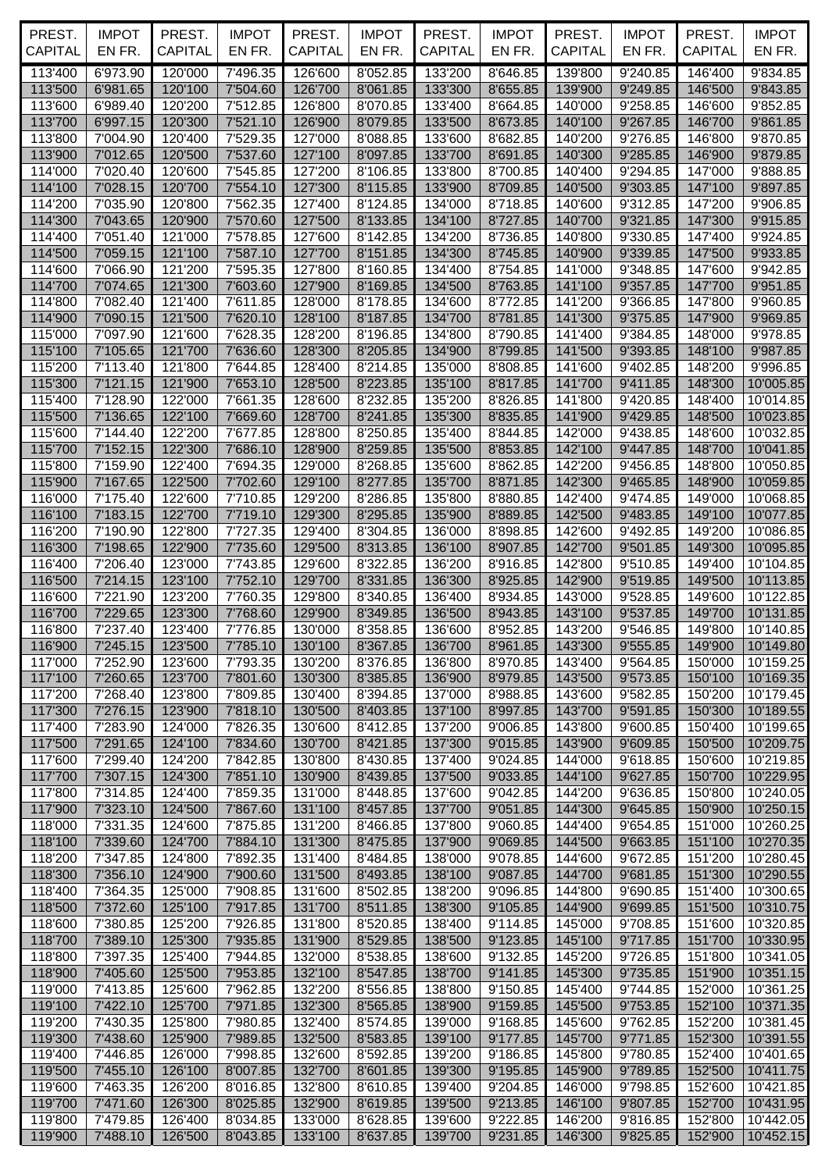| PREST.<br><b>CAPITAL</b> | <b>IMPOT</b><br>EN FR. | PREST.<br><b>CAPITAL</b> | <b>IMPOT</b><br>EN FR. | PREST.<br>CAPITAL  | <b>IMPOT</b><br>EN FR. | PREST.<br><b>CAPITAL</b> | <b>IMPOT</b><br>EN FR. | PREST.<br><b>CAPITAL</b> | <b>IMPOT</b><br>EN FR. | PREST.<br><b>CAPITAL</b>   | <b>IMPOT</b><br>EN FR. |
|--------------------------|------------------------|--------------------------|------------------------|--------------------|------------------------|--------------------------|------------------------|--------------------------|------------------------|----------------------------|------------------------|
|                          |                        |                          |                        |                    |                        |                          |                        |                          |                        |                            |                        |
| 113'400                  | 6'973.90               | 120'000                  | 7'496.35               | 126'600            | 8'052.85               | 133'200                  | 8'646.85               | 139'800                  | 9'240.85               | 146'400                    | 9'834.85               |
| 113'500<br>113'600       | 6'981.65               | 120'100                  | 7'504.60               | 126'700            | 8'061.85<br>8'070.85   | 133'300<br>133'400       | 8'655.85               | 139'900                  | 9'249.85               | 146'500                    | 9'843.85<br>9'852.85   |
| 113'700                  | 6'989.40<br>6'997.15   | 120'200<br>120'300       | 7'512.85<br>7'521.10   | 126'800<br>126'900 | 8'079.85               | 133'500                  | 8'664.85<br>8'673.85   | 140'000<br>140'100       | 9'258.85<br>9'267.85   | 146'600<br>146'700         | 9'861.85               |
| 113'800                  | 7'004.90               | 120'400                  | 7'529.35               | 127'000            | 8'088.85               | 133'600                  | 8'682.85               | 140'200                  | 9'276.85               | 146'800                    | 9'870.85               |
| 113'900                  | 7'012.65               | 120'500                  | 7'537.60               | 127'100            | 8'097.85               | 133'700                  | 8'691.85               | 140'300                  | 9'285.85               | 146'900                    | 9'879.85               |
| 114'000                  | 7'020.40               | 120'600                  | 7'545.85               | 127'200            | 8'106.85               | 133'800                  | 8'700.85               | 140'400                  | 9'294.85               | 147'000                    | 9'888.85               |
| 114'100                  | 7'028.15               | 120'700                  | 7'554.10               | 127'300            | 8'115.85               | 133'900                  | 8'709.85               | 140'500                  | 9'303.85               | 147'100                    | 9'897.85               |
| 114'200                  | 7'035.90               | 120'800                  | 7'562.35               | 127'400            | 8'124.85               | 134'000                  | 8'718.85               | 140'600                  | 9'312.85               | 147'200                    | 9'906.85               |
| 114'300                  | 7'043.65               | 120'900                  | 7'570.60               | 127'500            | 8'133.85               | 134'100                  | 8'727.85               | 140'700                  | 9'321.85               | 147'300                    | 9'915.85               |
| 114'400                  | 7'051.40               | 121'000                  | 7'578.85               | 127'600            | 8'142.85               | 134'200                  | 8'736.85               | 140'800                  | 9'330.85               | 147'400                    | 9'924.85               |
| 114'500                  | 7'059.15               | 121'100                  | 7'587.10               | 127'700            | 8'151.85               | 134'300                  | 8'745.85               | 140'900                  | 9'339.85               | 147'500                    | 9'933.85               |
| 114'600                  | 7'066.90               | 121'200                  | 7'595.35               | 127'800            | 8'160.85               | 134'400                  | 8'754.85               | 141'000                  | 9'348.85               | 147'600                    | 9'942.85               |
| 114'700                  | 7'074.65               | 121'300                  | 7'603.60               | 127'900            | 8'169.85               | 134'500                  | 8'763.85               | 141'100                  | 9'357.85               | 147'700                    | 9'951.85               |
| 114'800                  | 7'082.40               | 121'400                  | 7'611.85               | 128'000            | 8'178.85               | 134'600                  | 8'772.85               | 141'200                  | 9'366.85               | 147'800                    | 9'960.85               |
| 114'900                  | 7'090.15               | 121'500                  | 7'620.10               | 128'100            | 8'187.85               | 134'700                  | 8'781.85               | 141'300                  | 9'375.85               | 147'900                    | 9'969.85               |
| 115'000                  | 7'097.90               | 121'600                  | 7'628.35               | 128'200            | 8'196.85               | 134'800                  | 8'790.85               | 141'400                  | 9'384.85               | 148'000                    | 9'978.85               |
| 115'100<br>115'200       | 7'105.65<br>7'113.40   | 121'700<br>121'800       | 7'636.60<br>7'644.85   | 128'300<br>128'400 | 8'205.85<br>8'214.85   | 134'900<br>135'000       | 8'799.85<br>8'808.85   | 141'500<br>141'600       | 9'393.85<br>9'402.85   | 148'100<br>148'200         | 9'987.85<br>9'996.85   |
| 115'300                  | 7'121.15               | 121'900                  | 7'653.10               | 128'500            | 8'223.85               | 135'100                  | 8'817.85               | 141'700                  | 9'411.85               | 148'300                    | 10'005.85              |
| 115'400                  | 7'128.90               | 122'000                  | 7'661.35               | 128'600            | 8'232.85               | 135'200                  | 8'826.85               | 141'800                  | 9'420.85               | 148'400                    | 10'014.85              |
| 115'500                  | 7'136.65               | 122'100                  | 7'669.60               | 128'700            | 8'241.85               | 135'300                  | 8'835.85               | 141'900                  | 9'429.85               | 148'500                    | 10'023.85              |
| 115'600                  | 7'144.40               | 122'200                  | 7'677.85               | 128'800            | 8'250.85               | 135'400                  | 8'844.85               | 142'000                  | 9'438.85               | 148'600                    | 10'032.85              |
| 115'700                  | 7'152.15               | 122'300                  | 7'686.10               | 128'900            | 8'259.85               | 135'500                  | 8'853.85               | 142'100                  | 9'447.85               | 148'700                    | 10'041.85              |
| 115'800                  | 7'159.90               | 122'400                  | 7'694.35               | 129'000            | 8'268.85               | 135'600                  | 8'862.85               | 142'200                  | 9'456.85               | 148'800                    | 10'050.85              |
| 115'900                  | 7'167.65               | 122'500                  | 7'702.60               | 129'100            | 8'277.85               | 135'700                  | 8'871.85               | 142'300                  | 9'465.85               | 148'900                    | 10'059.85              |
| 116'000                  | 7'175.40               | 122'600                  | 7'710.85               | 129'200            | 8'286.85               | 135'800                  | 8'880.85               | 142'400                  | 9'474.85               | 149'000                    | 10'068.85              |
| 116'100                  | 7'183.15               | 122'700                  | 7'719.10               | 129'300            | 8'295.85               | 135'900                  | 8'889.85               | 142'500                  | 9'483.85               | 149'100                    | 10'077.85              |
| 116'200                  | 7'190.90               | 122'800                  | 7'727.35               | 129'400            | 8'304.85               | 136'000                  | 8'898.85               | 142'600                  | 9'492.85               | 149'200                    | 10'086.85              |
| 116'300                  | 7'198.65               | 122'900                  | 7'735.60               | 129'500            | 8'313.85               | 136'100                  | 8'907.85               | 142'700                  | 9'501.85               | 149'300                    | 10'095.85              |
| 116'400                  | 7'206.40               | 123'000                  | 7'743.85               | 129'600            | 8'322.85               | 136'200                  | 8'916.85               | 142'800                  | 9'510.85               | 149'400                    | 10'104.85              |
| 116'500                  | 7'214.15<br>7'221.90   | 123'100                  | 7'752.10               | 129'700<br>129'800 | 8'331.85               | 136'300                  | 8'925.85               | 142'900                  | 9'519.85               | 149'500                    | 10'113.85              |
| 116'600<br>116'700       | 7'229.65               | 123'200<br>123'300       | 7'760.35<br>7'768.60   | 129'900            | 8'340.85<br>8'349.85   | 136'400<br>136'500       | 8'934.85<br>8'943.85   | 143'000<br>143'100       | 9'528.85<br>9'537.85   | 149'600<br>149'700         | 10'122.85<br>10'131.85 |
| 116'800                  | 7'237.40               | 123'400                  | 7'776.85               | 130'000            | 8'358.85               | 136'600                  | 8'952.85               | 143'200                  | 9'546.85               | 149'800                    | 10'140.85              |
| 116'900                  | $7'245.15$ 123'500     |                          | 7'785.10               | 130'100            |                        | 8'367.85   136'700       | 8'961.85 143'300       |                          |                        | 9'555.85 149'900 10'149.80 |                        |
| 117'000                  | 7'252.90               | 123'600                  | 7'793.35               | 130'200            | 8'376.85               | 136'800                  | 8'970.85               | 143'400                  | 9'564.85               | 150'000                    | 10'159.25              |
| 117'100                  | 7'260.65               | 123'700                  | 7'801.60               | 130'300            | 8'385.85               | 136'900                  | 8'979.85               | 143'500                  | 9'573.85               | 150'100                    | 10'169.35              |
| 117'200                  | 7'268.40               | 123'800                  | 7'809.85               | 130'400            | 8'394.85               | 137'000                  | 8'988.85               | 143'600                  | 9'582.85               | 150'200                    | 10'179.45              |
| 117'300                  | 7'276.15               | 123'900                  | 7'818.10               | 130'500            | 8'403.85               | 137'100                  | 8'997.85               | 143'700                  | 9'591.85               | 150'300                    | 10'189.55              |
| 117'400                  | 7'283.90               | 124'000                  | 7'826.35               | 130'600            | 8'412.85               | 137'200                  | 9'006.85               | 143'800                  | 9'600.85               | 150'400                    | 10'199.65              |
| 117'500                  | 7'291.65               | 124'100                  | 7'834.60               | 130'700            | 8'421.85               | 137'300                  | 9'015.85               | 143'900                  | 9'609.85               | 150'500                    | 10'209.75              |
| 117'600                  | 7'299.40               | 124'200                  | 7'842.85               | 130'800            | 8'430.85               | 137'400                  | 9'024.85               | 144'000                  | 9'618.85               | 150'600                    | 10'219.85              |
| 117'700                  | 7'307.15               | 124'300                  | 7'851.10               | 130'900            | 8'439.85               | 137'500                  | 9'033.85               | 144'100                  | 9'627.85               | 150'700                    | 10'229.95              |
| 117'800<br>117'900       | 7'314.85<br>7'323.10   | 124'400<br>124'500       | 7'859.35<br>7'867.60   | 131'000<br>131'100 | 8'448.85<br>8'457.85   | 137'600<br>137'700       | 9'042.85<br>9'051.85   | 144'200<br>144'300       | 9'636.85<br>9'645.85   | 150'800<br>150'900         | 10'240.05<br>10'250.15 |
| 118'000                  | 7'331.35               | 124'600                  | 7'875.85               | 131'200            | 8'466.85               | 137'800                  | 9'060.85               | 144'400                  | 9'654.85               | 151'000                    | 10'260.25              |
| 118'100                  | 7'339.60               | 124'700                  | 7'884.10               | 131'300            | 8'475.85               | 137'900                  | 9'069.85               | 144'500                  | 9'663.85               | 151'100                    | 10'270.35              |
| 118'200                  | 7'347.85               | 124'800                  | 7'892.35               | 131'400            | 8'484.85               | 138'000                  | 9'078.85               | 144'600                  | 9'672.85               | 151'200                    | 10'280.45              |
| 118'300                  | 7'356.10               | 124'900                  | 7'900.60               | 131'500            | 8'493.85               | 138'100                  | 9'087.85               | 144'700                  | 9'681.85               | 151'300                    | 10'290.55              |
| 118'400                  | 7'364.35               | 125'000                  | 7'908.85               | 131'600            | 8'502.85               | 138'200                  | 9'096.85               | 144'800                  | 9'690.85               | 151'400                    | 10'300.65              |
| 118'500                  | 7'372.60               | 125'100                  | 7'917.85               | 131'700            | 8'511.85               | 138'300                  | 9'105.85               | 144'900                  | 9'699.85               | 151'500                    | 10'310.75              |
| 118'600                  | 7'380.85               | 125'200                  | 7'926.85               | 131'800            | 8'520.85               | 138'400                  | 9'114.85               | 145'000                  | 9'708.85               | 151'600                    | 10'320.85              |
| 118'700                  | 7'389.10               | 125'300                  | 7'935.85               | 131'900            | 8'529.85               | 138'500                  | 9'123.85               | 145'100                  | 9'717.85               | 151'700                    | 10'330.95              |
| 118'800                  | 7'397.35               | 125'400                  | 7'944.85               | 132'000            | 8'538.85               | 138'600                  | 9'132.85               | 145'200                  | 9'726.85               | 151'800                    | 10'341.05              |
| 118'900                  | 7'405.60               | 125'500                  | 7'953.85               | 132'100            | 8'547.85               | 138'700                  | 9'141.85               | 145'300                  | 9'735.85               | 151'900                    | 10'351.15              |
| 119'000                  | 7'413.85               | 125'600                  | 7'962.85               | 132'200            | 8'556.85               | 138'800                  | 9'150.85               | 145'400                  | 9'744.85               | 152'000                    | 10'361.25              |
| 119'100                  | 7'422.10               | 125'700                  | 7'971.85               | 132'300            | 8'565.85               | 138'900                  | 9'159.85               | 145'500                  | 9'753.85               | 152'100                    | 10'371.35              |
| 119'200<br>119'300       | 7'430.35<br>7'438.60   | 125'800<br>125'900       | 7'980.85<br>7'989.85   | 132'400<br>132'500 | 8'574.85<br>8'583.85   | 139'000<br>139'100       | 9'168.85<br>9'177.85   | 145'600<br>145'700       | 9'762.85<br>9'771.85   | 152'200<br>152'300         | 10'381.45<br>10'391.55 |
| 119'400                  | 7'446.85               | 126'000                  | 7'998.85               | 132'600            | 8'592.85               | 139'200                  | 9'186.85               | 145'800                  | 9'780.85               | 152'400                    | 10'401.65              |
| 119'500                  | 7'455.10               | 126'100                  | 8'007.85               | 132'700            | 8'601.85               | 139'300                  | 9'195.85               | 145'900                  | 9'789.85               | 152'500                    | 10'411.75              |
| 119'600                  | 7'463.35               | 126'200                  | 8'016.85               | 132'800            | 8'610.85               | 139'400                  | 9'204.85               | 146'000                  | 9'798.85               | 152'600                    | 10'421.85              |
| 119'700                  | 7'471.60               | 126'300                  | 8'025.85               | 132'900            | 8'619.85               | 139'500                  | 9'213.85               | 146'100                  | 9'807.85               | 152'700                    | 10'431.95              |
| 119'800                  | 7'479.85               | 126'400                  | 8'034.85               | 133'000            | 8'628.85               | 139'600                  | 9'222.85               | 146'200                  | 9'816.85               | 152'800                    | 10'442.05              |
| 119'900                  | 7'488.10               | 126'500                  | 8'043.85               | 133'100            | 8'637.85               | 139'700                  | 9'231.85               | 146'300                  | 9'825.85               | 152'900                    | 10'452.15              |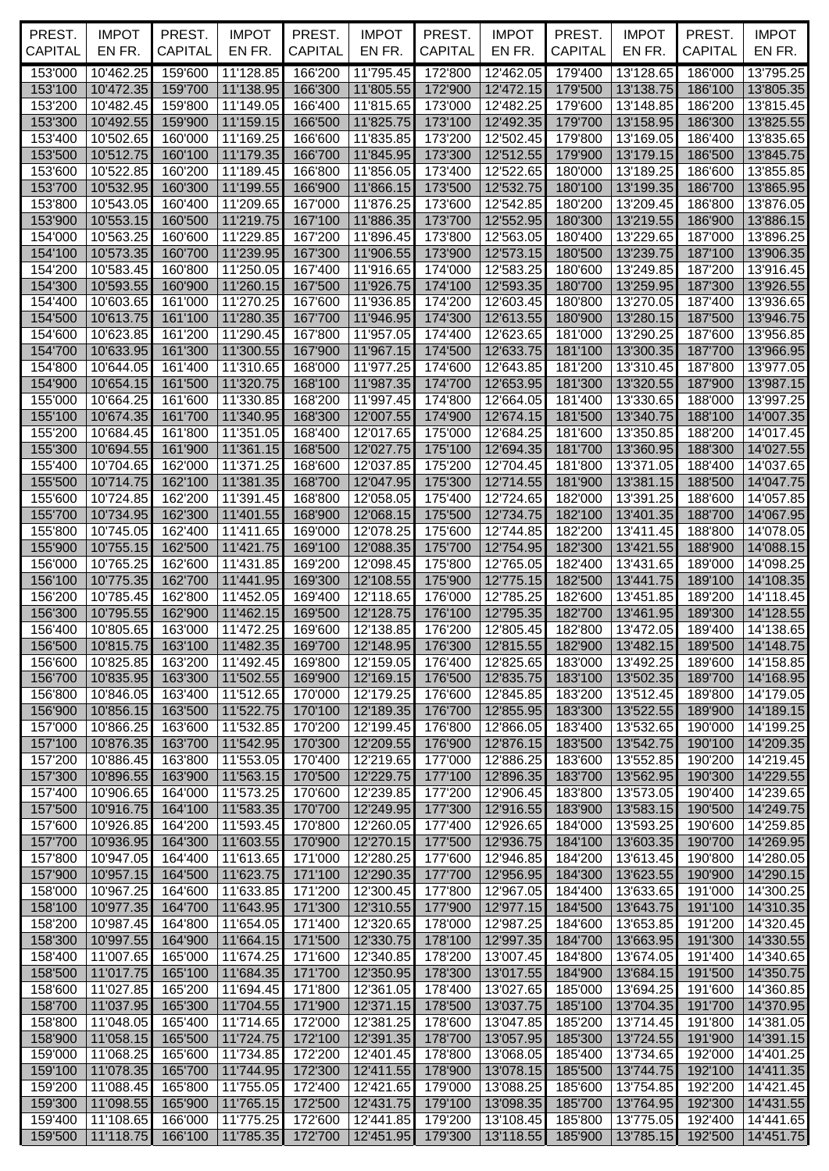| PREST.<br><b>CAPITAL</b> | <b>IMPOT</b><br>EN FR.    | PREST.<br><b>CAPITAL</b> | <b>IMPOT</b><br>EN FR. | PREST.<br>CAPITAL  | <b>IMPOT</b><br>EN FR. | PREST.<br><b>CAPITAL</b> | <b>IMPOT</b><br>EN FR.                              | PREST.<br><b>CAPITAL</b> | <b>IMPOT</b><br>EN FR. | PREST.<br><b>CAPITAL</b> | <b>IMPOT</b><br>EN FR. |
|--------------------------|---------------------------|--------------------------|------------------------|--------------------|------------------------|--------------------------|-----------------------------------------------------|--------------------------|------------------------|--------------------------|------------------------|
|                          | 10'462.25                 |                          |                        |                    |                        |                          | 12'462.05                                           | 179'400                  |                        |                          |                        |
| 153'000<br>153'100       | 10'472.35                 | 159'600<br>159'700       | 11'128.85<br>11'138.95 | 166'200<br>166'300 | 11'795.45<br>11'805.55 | 172'800<br>172'900       | 12'472.15                                           | 179'500                  | 13'128.65<br>13'138.75 | 186'000<br>186'100       | 13'795.25<br>13'805.35 |
| 153'200                  | 10'482.45                 | 159'800                  | 11'149.05              | 166'400            | 11'815.65              | 173'000                  | 12'482.25                                           | 179'600                  | 13'148.85              | 186'200                  | 13'815.45              |
| 153'300                  | 10'492.55                 | 159'900                  | 11'159.15              | 166'500            | 11'825.75              | 173'100                  | 12'492.35                                           | 179'700                  | 13'158.95              | 186'300                  | 13'825.55              |
| 153'400                  | 10'502.65                 | 160'000                  | 11'169.25              | 166'600            | 11'835.85              | 173'200                  | 12'502.45                                           | 179'800                  | 13'169.05              | 186'400                  | 13'835.65              |
| 153'500                  | 10'512.75                 | 160'100                  | 11'179.35              | 166'700            | 11'845.95              | 173'300                  | 12'512.55                                           | 179'900                  | 13'179.15              | 186'500                  | 13'845.75              |
| 153'600                  | 10'522.85                 | 160'200                  | 11'189.45              | 166'800            | 11'856.05              | 173'400                  | 12'522.65                                           | 180'000                  | 13'189.25              | 186'600                  | 13'855.85              |
| 153'700<br>153'800       | 10'532.95<br>10'543.05    | 160'300<br>160'400       | 11'199.55<br>11'209.65 | 166'900<br>167'000 | 11'866.15<br>11'876.25 | 173'500<br>173'600       | 12'532.75<br>12'542.85                              | 180'100<br>180'200       | 13'199.35<br>13'209.45 | 186'700<br>186'800       | 13'865.95<br>13'876.05 |
| 153'900                  | 10'553.15                 | 160'500                  | 11'219.75              | 167'100            | 11'886.35              | 173'700                  | 12'552.95                                           | 180'300                  | 13'219.55              | 186'900                  | 13'886.15              |
| 154'000                  | 10'563.25                 | 160'600                  | 11'229.85              | 167'200            | 11'896.45              | 173'800                  | 12'563.05                                           | 180'400                  | 13'229.65              | 187'000                  | 13'896.25              |
| 154'100                  | 10'573.35                 | 160'700                  | 11'239.95              | 167'300            | 11'906.55              | 173'900                  | 12'573.15                                           | 180'500                  | 13'239.75              | 187'100                  | 13'906.35              |
| 154'200                  | 10'583.45                 | 160'800                  | 11'250.05              | 167'400            | 11'916.65              | 174'000                  | 12'583.25                                           | 180'600                  | 13'249.85              | 187'200                  | 13'916.45              |
| 154'300                  | 10'593.55                 | 160'900                  | 11'260.15              | 167'500            | 11'926.75              | 174'100                  | 12'593.35                                           | 180'700                  | 13'259.95              | 187'300                  | 13'926.55              |
| 154'400                  | 10'603.65                 | 161'000                  | 11'270.25              | 167'600            | 11'936.85              | 174'200                  | 12'603.45                                           | 180'800                  | 13'270.05              | 187'400                  | 13'936.65              |
| 154'500                  | 10'613.75<br>10'623.85    | 161'100<br>161'200       | 11'280.35              | 167'700            | 11'946.95<br>11'957.05 | 174'300<br>174'400       | 12'613.55<br>12'623.65                              | 180'900                  | 13'280.15<br>13'290.25 | 187'500<br>187'600       | 13'946.75              |
| 154'600<br>154'700       | 10'633.95                 | 161'300                  | 11'290.45<br>11'300.55 | 167'800<br>167'900 | 11'967.15              | 174'500                  | 12'633.75                                           | 181'000<br>181'100       | 13'300.35              | 187'700                  | 13'956.85<br>13'966.95 |
| 154'800                  | 10'644.05                 | 161'400                  | 11'310.65              | 168'000            | 11'977.25              | 174'600                  | 12'643.85                                           | 181'200                  | 13'310.45              | 187'800                  | 13'977.05              |
| 154'900                  | 10'654.15                 | 161'500                  | 11'320.75              | 168'100            | 11'987.35              | 174'700                  | 12'653.95                                           | 181'300                  | 13'320.55              | 187'900                  | 13'987.15              |
| 155'000                  | 10'664.25                 | 161'600                  | 11'330.85              | 168'200            | 11'997.45              | 174'800                  | 12'664.05                                           | 181'400                  | 13'330.65              | 188'000                  | 13'997.25              |
| 155'100                  | 10'674.35                 | 161'700                  | 11'340.95              | 168'300            | 12'007.55              | 174'900                  | 12'674.15                                           | 181'500                  | 13'340.75              | 188'100                  | 14'007.35              |
| 155'200                  | 10'684.45                 | 161'800                  | 11'351.05              | 168'400            | 12'017.65              | 175'000                  | 12'684.25                                           | 181'600                  | 13'350.85              | 188'200                  | 14'017.45              |
| 155'300                  | 10'694.55                 | 161'900                  | 11'361.15              | 168'500            | 12'027.75              | 175'100                  | 12'694.35                                           | 181'700                  | 13'360.95              | 188'300                  | 14'027.55              |
| 155'400                  | 10'704.65                 | 162'000                  | 11'371.25              | 168'600            | 12'037.85              | 175'200                  | 12'704.45                                           | 181'800                  | 13'371.05              | 188'400                  | 14'037.65              |
| 155'500                  | 10'714.75                 | 162'100                  | 11'381.35              | 168'700            | 12'047.95              | 175'300                  | 12'714.55                                           | 181'900                  | 13'381.15              | 188'500                  | 14'047.75              |
| 155'600                  | 10'724.85                 | 162'200                  | 11'391.45              | 168'800            | 12'058.05              | 175'400                  | 12'724.65                                           | 182'000                  | 13'391.25              | 188'600                  | 14'057.85              |
| 155'700<br>155'800       | 10'734.95<br>10'745.05    | 162'300<br>162'400       | 11'401.55<br>11'411.65 | 168'900<br>169'000 | 12'068.15<br>12'078.25 | 175'500<br>175'600       | 12'734.75<br>12'744.85                              | 182'100<br>182'200       | 13'401.35<br>13'411.45 | 188'700<br>188'800       | 14'067.95<br>14'078.05 |
| 155'900                  | 10'755.15                 | 162'500                  | 11'421.75              | 169'100            | 12'088.35              | 175'700                  | 12'754.95                                           | 182'300                  | 13'421.55              | 188'900                  | 14'088.15              |
| 156'000                  | 10'765.25                 | 162'600                  | 11'431.85              | 169'200            | 12'098.45              | 175'800                  | 12'765.05                                           | 182'400                  | 13'431.65              | 189'000                  | 14'098.25              |
| 156'100                  | 10'775.35                 | 162'700                  | 11'441.95              | 169'300            | 12'108.55              | 175'900                  | 12'775.15                                           | 182'500                  | 13'441.75              | 189'100                  | 14'108.35              |
| 156'200                  | 10'785.45                 | 162'800                  | 11'452.05              | 169'400            | 12'118.65              | 176'000                  | 12'785.25                                           | 182'600                  | 13'451.85              | 189'200                  | 14'118.45              |
| 156'300                  | 10'795.55                 | 162'900                  | 11'462.15              | 169'500            | 12'128.75              | 176'100                  | 12'795.35                                           | 182'700                  | 13'461.95              | 189'300                  | 14'128.55              |
| 156'400                  | 10'805.65                 | 163'000                  | 11'472.25              | 169'600            | 12'138.85              | 176'200                  | 12'805.45                                           | 182'800                  | 13'472.05              | 189'400                  | 14'138.65              |
|                          | 156'500 10'815.75 163'100 |                          | 11'482.35              |                    |                        |                          | 169'700   12'148.95   176'300   12'815.55   182'900 |                          | 13'482.15 189'500      |                          | 14'148.75              |
| 156'600                  | 10'825.85                 | 163'200                  | 11'492.45              | 169'800            | 12'159.05              | 176'400                  | 12'825.65                                           | 183'000                  | 13'492.25              | 189'600                  | 14'158.85              |
| 156'700<br>156'800       | 10'835.95<br>10'846.05    | 163'300<br>163'400       | 11'502.55<br>11'512.65 | 169'900<br>170'000 | 12'169.15<br>12'179.25 | 176'500<br>176'600       | 12'835.75<br>12'845.85                              | 183'100<br>183'200       | 13'502.35<br>13'512.45 | 189'700<br>189'800       | 14'168.95<br>14'179.05 |
| 156'900                  | 10'856.15                 | 163'500                  | 11'522.75              | 170'100            | 12'189.35              | 176'700                  | 12'855.95                                           | 183'300                  | 13'522.55              | 189'900                  | 14'189.15              |
| 157'000                  | 10'866.25                 | 163'600                  | 11'532.85              | 170'200            | 12'199.45              | 176'800                  | 12'866.05                                           | 183'400                  | 13'532.65              | 190'000                  | 14'199.25              |
| 157'100                  | 10'876.35                 | 163'700                  | 11'542.95              | 170'300            | 12'209.55              | 176'900                  | 12'876.15                                           | 183'500                  | 13'542.75              | 190'100                  | 14'209.35              |
| 157'200                  | 10'886.45                 | 163'800                  | 11'553.05              | 170'400            | 12'219.65              | 177'000                  | 12'886.25                                           | 183'600                  | 13'552.85              | 190'200                  | 14'219.45              |
| 157'300                  | 10'896.55                 | 163'900                  | 11'563.15              | 170'500            | 12'229.75              | 177'100                  | 12'896.35                                           | 183'700                  | 13'562.95              | 190'300                  | 14'229.55              |
| 157'400                  | 10'906.65                 | 164'000                  | 11'573.25              | 170'600            | 12'239.85              | 177'200                  | 12'906.45                                           | 183'800                  | 13'573.05              | 190'400                  | 14'239.65              |
| 157'500                  | 10'916.75                 | 164'100                  | 11'583.35              | 170'700            | 12'249.95              | 177'300                  | 12'916.55                                           | 183'900                  | 13'583.15              | 190'500                  | 14'249.75              |
| 157'600<br>157'700       | 10'926.85<br>10'936.95    | 164'200<br>164'300       | 11'593.45<br>11'603.55 | 170'800<br>170'900 | 12'260.05<br>12'270.15 | 177'400<br>177'500       | 12'926.65<br>12'936.75                              | 184'000<br>184'100       | 13'593.25<br>13'603.35 | 190'600<br>190'700       | 14'259.85<br>14'269.95 |
| 157'800                  | 10'947.05                 | 164'400                  | 11'613.65              | 171'000            | 12'280.25              | 177'600                  | 12'946.85                                           | 184'200                  | 13'613.45              | 190'800                  | 14'280.05              |
| 157'900                  | 10'957.15                 | 164'500                  | 11'623.75              | 171'100            | 12'290.35              | 177'700                  | 12'956.95                                           | 184'300                  | 13'623.55              | 190'900                  | 14'290.15              |
| 158'000                  | 10'967.25                 | 164'600                  | 11'633.85              | 171'200            | 12'300.45              | 177'800                  | 12'967.05                                           | 184'400                  | 13'633.65              | 191'000                  | 14'300.25              |
| 158'100                  | 10'977.35                 | 164'700                  | 11'643.95              | 171'300            | 12'310.55              | 177'900                  | 12'977.15                                           | 184'500                  | 13'643.75              | 191'100                  | 14'310.35              |
| 158'200                  | 10'987.45                 | 164'800                  | 11'654.05              | 171'400            | 12'320.65              | 178'000                  | 12'987.25                                           | 184'600                  | 13'653.85              | 191'200                  | 14'320.45              |
| 158'300                  | 10'997.55                 | 164'900                  | 11'664.15              | 171'500            | 12'330.75              | 178'100                  | 12'997.35                                           | 184'700                  | 13'663.95              | 191'300                  | 14'330.55              |
| 158'400                  | 11'007.65                 | 165'000                  | 11'674.25              | 171'600            | 12'340.85              | 178'200                  | 13'007.45                                           | 184'800                  | 13'674.05              | 191'400                  | 14'340.65              |
| 158'500                  | 11'017.75                 | 165'100                  | 11'684.35              | 171'700            | 12'350.95              | 178'300                  | 13'017.55                                           | 184'900                  | 13'684.15              | 191'500                  | 14'350.75              |
| 158'600<br>158'700       | 11'027.85<br>11'037.95    | 165'200<br>165'300       | 11'694.45              | 171'800<br>171'900 | 12'361.05<br>12'371.15 | 178'400<br>178'500       | 13'027.65<br>13'037.75                              | 185'000<br>185'100       | 13'694.25              | 191'600<br>191'700       | 14'360.85              |
| 158'800                  | 11'048.05                 | 165'400                  | 11'704.55<br>11'714.65 | 172'000            | 12'381.25              | 178'600                  | 13'047.85                                           | 185'200                  | 13'704.35<br>13'714.45 | 191'800                  | 14'370.95<br>14'381.05 |
| 158'900                  | 11'058.15                 | 165'500                  | 11'724.75              | 172'100            | 12'391.35              | 178'700                  | 13'057.95                                           | 185'300                  | 13'724.55              | 191'900                  | 14'391.15              |
| 159'000                  | 11'068.25                 | 165'600                  | 11'734.85              | 172'200            | 12'401.45              | 178'800                  | 13'068.05                                           | 185'400                  | 13'734.65              | 192'000                  | 14'401.25              |
| 159'100                  | 11'078.35                 | 165'700                  | 11'744.95              | 172'300            | 12'411.55              | 178'900                  | 13'078.15                                           | 185'500                  | 13'744.75              | 192'100                  | 14'411.35              |
| 159'200                  | 11'088.45                 | 165'800                  | 11'755.05              | 172'400            | 12'421.65              | 179'000                  | 13'088.25                                           | 185'600                  | 13'754.85              | 192'200                  | 14'421.45              |
| 159'300                  | 11'098.55                 | 165'900                  | 11'765.15              | 172'500            | 12'431.75              | 179'100                  | 13'098.35                                           | 185'700                  | 13'764.95              | 192'300                  | 14'431.55              |
| 159'400                  | 11'108.65                 | 166'000                  | 11'775.25              | 172'600            | 12'441.85              | 179'200                  | 13'108.45                                           | 185'800                  | 13'775.05              | 192'400                  | 14'441.65              |
| 159'500                  | 11'118.75                 | 166'100                  | 11'785.35              | 172'700            | 12'451.95              | 179'300                  | 13'118.55                                           | 185'900                  | 13'785.15 192'500      |                          | 14'451.75              |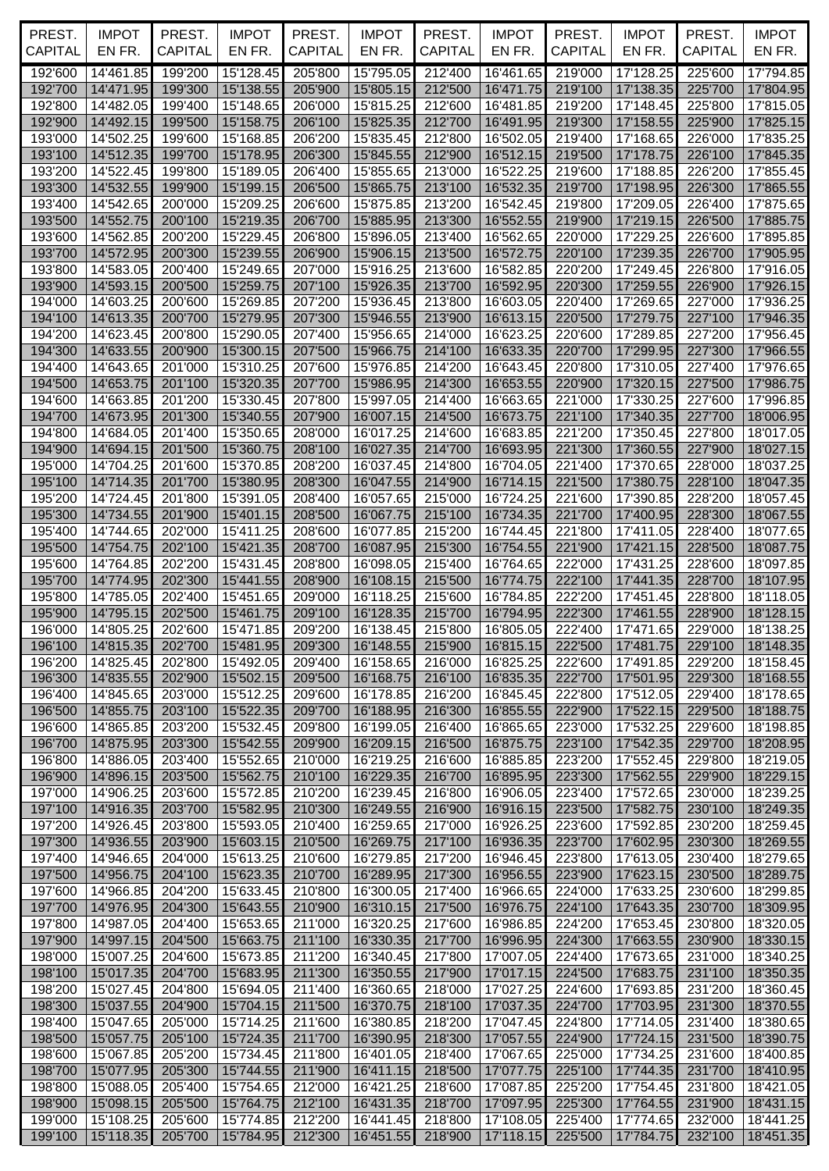| PREST.<br><b>CAPITAL</b> | <b>IMPOT</b><br>EN FR.                 | PREST.<br><b>CAPITAL</b> | <b>IMPOT</b><br>EN FR. | PREST.<br><b>CAPITAL</b> | <b>IMPOT</b><br>EN FR. | PREST.<br>CAPITAL  | <b>IMPOT</b><br>EN FR.                   | PREST.<br><b>CAPITAL</b> | <b>IMPOT</b><br>EN FR.                 | PREST.<br><b>CAPITAL</b> | <b>IMPOT</b><br>EN FR. |
|--------------------------|----------------------------------------|--------------------------|------------------------|--------------------------|------------------------|--------------------|------------------------------------------|--------------------------|----------------------------------------|--------------------------|------------------------|
| 192'600                  | 14'461.85                              | 199'200                  | 15'128.45              | 205'800                  | 15'795.05              | 212'400            | 16'461.65                                | 219'000                  | 17'128.25                              | 225'600                  | 17'794.85              |
| 192'700                  | 14'471.95                              | 199'300                  | 15'138.55              | 205'900                  | 15'805.15              | 212'500            | 16'471.75                                | 219'100                  | 17'138.35                              | 225'700                  | 17'804.95              |
| 192'800                  | 14'482.05                              | 199'400                  | 15'148.65              | 206'000                  | 15'815.25              | 212'600            | 16'481.85                                | 219'200                  | 17'148.45                              | 225'800                  | 17'815.05              |
| 192'900                  | 14'492.15                              | 199'500                  | 15'158.75              | 206'100                  | 15'825.35              | 212'700            | 16'491.95                                | 219'300                  | 17'158.55                              | 225'900                  | 17'825.15              |
| 193'000                  | 14'502.25                              | 199'600                  | 15'168.85              | 206'200                  | 15'835.45              | 212'800            | 16'502.05                                | 219'400                  | 17'168.65                              | 226'000                  | 17'835.25              |
| 193'100<br>193'200       | 14'512.35<br>14'522.45                 | 199'700<br>199'800       | 15'178.95<br>15'189.05 | 206'300<br>206'400       | 15'845.55<br>15'855.65 | 212'900<br>213'000 | 16'512.15<br>16'522.25                   | 219'500<br>219'600       | 17'178.75<br>17'188.85                 | 226'100<br>226'200       | 17'845.35              |
| 193'300                  | 14'532.55                              | 199'900                  | 15'199.15              | 206'500                  | 15'865.75              | 213'100            | 16'532.35                                | 219'700                  | 17'198.95                              | 226'300                  | 17'855.45<br>17'865.55 |
| 193'400                  | 14'542.65                              | 200'000                  | 15'209.25              | 206'600                  | 15'875.85              | 213'200            | 16'542.45                                | 219'800                  | 17'209.05                              | 226'400                  | 17'875.65              |
| 193'500                  | 14'552.75                              | 200'100                  | 15'219.35              | 206'700                  | 15'885.95              | 213'300            | 16'552.55                                | 219'900                  | 17'219.15                              | 226'500                  | 17'885.75              |
| 193'600                  | 14'562.85                              | 200'200                  | 15'229.45              | 206'800                  | 15'896.05              | 213'400            | 16'562.65                                | 220'000                  | 17'229.25                              | 226'600                  | 17'895.85              |
| 193'700                  | 14'572.95                              | 200'300                  | 15'239.55              | 206'900                  | 15'906.15              | 213'500            | 16'572.75                                | 220'100                  | 17'239.35                              | 226'700                  | 17'905.95              |
| 193'800                  | 14'583.05                              | 200'400                  | 15'249.65              | 207'000                  | 15'916.25              | 213'600            | 16'582.85                                | 220'200                  | 17'249.45                              | 226'800                  | 17'916.05              |
| 193'900<br>194'000       | 14'593.15<br>14'603.25                 | 200'500<br>200'600       | 15'259.75<br>15'269.85 | 207'100<br>207'200       | 15'926.35<br>15'936.45 | 213'700<br>213'800 | 16'592.95<br>16'603.05                   | 220'300<br>220'400       | 17'259.55<br>17'269.65                 | 226'900<br>227'000       | 17'926.15<br>17'936.25 |
| 194'100                  | 14'613.35                              | 200'700                  | 15'279.95              | 207'300                  | 15'946.55              | 213'900            | 16'613.15                                | 220'500                  | 17'279.75                              | 227'100                  | 17'946.35              |
| 194'200                  | 14'623.45                              | 200'800                  | 15'290.05              | 207'400                  | 15'956.65              | 214'000            | 16'623.25                                | 220'600                  | 17'289.85                              | 227'200                  | 17'956.45              |
| 194'300                  | 14'633.55                              | 200'900                  | 15'300.15              | 207'500                  | 15'966.75              | 214'100            | 16'633.35                                | 220'700                  | 17'299.95                              | 227'300                  | 17'966.55              |
| 194'400                  | 14'643.65                              | 201'000                  | 15'310.25              | 207'600                  | 15'976.85              | 214'200            | 16'643.45                                | 220'800                  | 17'310.05                              | 227'400                  | 17'976.65              |
| 194'500                  | 14'653.75                              | 201'100                  | 15'320.35              | 207'700                  | 15'986.95              | 214'300            | 16'653.55                                | 220'900                  | 17'320.15                              | 227'500                  | 17'986.75              |
| 194'600<br>194'700       | 14'663.85<br>14'673.95                 | 201'200<br>201'300       | 15'330.45<br>15'340.55 | 207'800<br>207'900       | 15'997.05<br>16'007.15 | 214'400<br>214'500 | 16'663.65<br>16'673.75                   | 221'000<br>221'100       | 17'330.25<br>17'340.35                 | 227'600<br>227'700       | 17'996.85<br>18'006.95 |
| 194'800                  | 14'684.05                              | 201'400                  | 15'350.65              | 208'000                  | 16'017.25              | 214'600            | 16'683.85                                | 221'200                  | 17'350.45                              | 227'800                  | 18'017.05              |
| 194'900                  | 14'694.15                              | 201'500                  | 15'360.75              | 208'100                  | 16'027.35              | 214'700            | 16'693.95                                | 221'300                  | 17'360.55                              | 227'900                  | 18'027.15              |
| 195'000                  | 14'704.25                              | 201'600                  | 15'370.85              | 208'200                  | 16'037.45              | 214'800            | 16'704.05                                | 221'400                  | 17'370.65                              | 228'000                  | 18'037.25              |
| 195'100                  | 14'714.35                              | 201'700                  | 15'380.95              | 208'300                  | 16'047.55              | 214'900            | 16'714.15                                | 221'500                  | 17'380.75                              | 228'100                  | 18'047.35              |
| 195'200                  | 14'724.45                              | 201'800                  | 15'391.05              | 208'400                  | 16'057.65              | 215'000            | 16'724.25                                | 221'600                  | 17'390.85                              | 228'200                  | 18'057.45              |
| 195'300<br>195'400       | 14'734.55<br>14'744.65                 | 201'900<br>202'000       | 15'401.15<br>15'411.25 | 208'500<br>208'600       | 16'067.75<br>16'077.85 | 215'100<br>215'200 | 16'734.35<br>16'744.45                   | 221'700<br>221'800       | 17'400.95<br>17'411.05                 | 228'300<br>228'400       | 18'067.55<br>18'077.65 |
| 195'500                  | 14'754.75                              | 202'100                  | 15'421.35              | 208'700                  | 16'087.95              | 215'300            | 16'754.55                                | 221'900                  | 17'421.15                              | 228'500                  | 18'087.75              |
| 195'600                  | 14'764.85                              | 202'200                  | 15'431.45              | 208'800                  | 16'098.05              | 215'400            | 16'764.65                                | 222'000                  | 17'431.25                              | 228'600                  | 18'097.85              |
| 195'700                  | 14'774.95                              | 202'300                  | 15'441.55              | 208'900                  | 16'108.15              | 215'500            | 16'774.75                                | 222'100                  | 17'441.35                              | 228'700                  | 18'107.95              |
| 195'800                  | 14'785.05                              | 202'400                  | 15'451.65              | 209'000                  | 16'118.25              | 215'600            | 16'784.85                                | 222'200                  | 17'451.45                              | 228'800                  | 18'118.05              |
| 195'900                  | 14'795.15                              | 202'500                  | 15'461.75              | 209'100                  | 16'128.35              | 215'700            | 16'794.95                                | 222'300                  | 17'461.55                              | 228'900                  | 18'128.15              |
| 196'000                  | 14'805.25<br>196'100 14'815.35 202'700 | 202'600                  | 15'471.85<br>15'481.95 | 209'200<br>209'300       | 16'138.45              | 215'800            | 16'805.05<br>16'148.55 215'900 16'815.15 | 222'400                  | 17'471.65<br>222'500 17'481.75 229'100 | 229'000                  | 18'138.25<br>18'148.35 |
| 196'200                  | 14'825.45                              | 202'800                  | 15'492.05              | 209'400                  | 16'158.65              | 216'000            | 16'825.25                                | 222'600                  | 17'491.85                              | 229'200                  | 18'158.45              |
| 196'300                  | 14'835.55                              | 202'900                  | 15'502.15              | 209'500                  | 16'168.75              | 216'100            | 16'835.35                                | 222'700                  | 17'501.95                              | 229'300                  | 18'168.55              |
| 196'400                  | 14'845.65                              | 203'000                  | 15'512.25              | 209'600                  | 16'178.85              | 216'200            | 16'845.45                                | 222'800                  | 17'512.05                              | 229'400                  | 18'178.65              |
| 196'500                  | 14'855.75                              | 203'100                  | 15'522.35              | 209'700                  | 16'188.95              | 216'300            | 16'855.55                                | 222'900                  | 17'522.15                              | 229'500                  | 18'188.75              |
| 196'600                  | 14'865.85                              | 203'200                  | 15'532.45              | 209'800                  | 16'199.05              | 216'400            | 16'865.65                                | 223'000                  | 17'532.25                              | 229'600                  | 18'198.85              |
| 196'700<br>196'800       | 14'875.95<br>14'886.05                 | 203'300<br>203'400       | 15'542.55<br>15'552.65 | 209'900<br>210'000       | 16'209.15<br>16'219.25 | 216'500<br>216'600 | 16'875.75<br>16'885.85                   | 223'100<br>223'200       | 17'542.35<br>17'552.45                 | 229'700<br>229'800       | 18'208.95<br>18'219.05 |
| 196'900                  | 14'896.15                              | 203'500                  | 15'562.75              | 210'100                  | 16'229.35              | 216'700            | 16'895.95                                | 223'300                  | 17'562.55                              | 229'900                  | 18'229.15              |
| 197'000                  | 14'906.25                              | 203'600                  | 15'572.85              | 210'200                  | 16'239.45              | 216'800            | 16'906.05                                | 223'400                  | 17'572.65                              | 230'000                  | 18'239.25              |
| 197'100                  | 14'916.35                              | 203'700                  | 15'582.95              | 210'300                  | 16'249.55              | 216'900            | 16'916.15                                | 223'500                  | 17'582.75                              | 230'100                  | 18'249.35              |
| 197'200                  | 14'926.45                              | 203'800                  | 15'593.05              | 210'400                  | 16'259.65              | 217'000            | 16'926.25                                | 223'600                  | 17'592.85                              | 230'200                  | 18'259.45              |
| 197'300<br>197'400       | 14'936.55<br>14'946.65                 | 203'900<br>204'000       | 15'603.15<br>15'613.25 | 210'500<br>210'600       | 16'269.75<br>16'279.85 | 217'100<br>217'200 | 16'936.35<br>16'946.45                   | 223'700<br>223'800       | 17'602.95<br>17'613.05                 | 230'300<br>230'400       | 18'269.55<br>18'279.65 |
| 197'500                  | 14'956.75                              | 204'100                  | 15'623.35              | 210'700                  | 16'289.95              | 217'300            | 16'956.55                                | 223'900                  | 17'623.15                              | 230'500                  | 18'289.75              |
| 197'600                  | 14'966.85                              | 204'200                  | 15'633.45              | 210'800                  | 16'300.05              | 217'400            | 16'966.65                                | 224'000                  | 17'633.25                              | 230'600                  | 18'299.85              |
| 197'700                  | 14'976.95                              | 204'300                  | 15'643.55              | 210'900                  | 16'310.15              | 217'500            | 16'976.75                                | 224'100                  | 17'643.35                              | 230'700                  | 18'309.95              |
| 197'800                  | 14'987.05                              | 204'400                  | 15'653.65              | 211'000                  | 16'320.25              | 217'600            | 16'986.85                                | 224'200                  | 17'653.45                              | 230'800                  | 18'320.05              |
| 197'900                  | 14'997.15                              | 204'500                  | 15'663.75              | 211'100                  | 16'330.35              | 217'700            | 16'996.95                                | 224'300                  | 17'663.55                              | 230'900                  | 18'330.15              |
| 198'000<br>198'100       | 15'007.25<br>15'017.35                 | 204'600<br>204'700       | 15'673.85              | 211'200<br>211'300       | 16'340.45<br>16'350.55 | 217'800            | 17'007.05<br>17'017.15                   | 224'400<br>224'500       | 17'673.65<br>17'683.75                 | 231'000<br>231'100       | 18'340.25              |
| 198'200                  | 15'027.45                              | 204'800                  | 15'683.95<br>15'694.05 | 211'400                  | 16'360.65              | 217'900<br>218'000 | 17'027.25                                | 224'600                  | 17'693.85                              | 231'200                  | 18'350.35<br>18'360.45 |
| 198'300                  | 15'037.55                              | 204'900                  | 15'704.15              | 211'500                  | 16'370.75              | 218'100            | 17'037.35                                | 224'700                  | 17'703.95                              | 231'300                  | 18'370.55              |
| 198'400                  | 15'047.65                              | 205'000                  | 15'714.25              | 211'600                  | 16'380.85              | 218'200            | 17'047.45                                | 224'800                  | 17'714.05                              | 231'400                  | 18'380.65              |
| 198'500                  | 15'057.75                              | 205'100                  | 15'724.35              | 211'700                  | 16'390.95              | 218'300            | 17'057.55                                | 224'900                  | 17'724.15                              | 231'500                  | 18'390.75              |
| 198'600                  | 15'067.85                              | 205'200                  | 15'734.45              | 211'800                  | 16'401.05              | 218'400            | 17'067.65                                | 225'000                  | 17'734.25                              | 231'600                  | 18'400.85              |
| 198'700                  | 15'077.95                              | 205'300<br>205'400       | 15'744.55              | 211'900                  | 16'411.15<br>16'421.25 | 218'500            | 17'077.75<br>17'087.85                   | 225'100                  | 17'744.35<br>17'754.45                 | 231'700<br>231'800       | 18'410.95              |
| 198'800<br>198'900       | 15'088.05<br>15'098.15                 | 205'500                  | 15'754.65<br>15'764.75 | 212'000<br>212'100       | 16'431.35              | 218'600<br>218'700 | 17'097.95                                | 225'200<br>225'300       | 17'764.55                              | 231'900                  | 18'421.05<br>18'431.15 |
| 199'000                  | 15'108.25                              | 205'600                  | 15'774.85              | 212'200                  | 16'441.45              | 218'800            | 17'108.05                                | 225'400                  | 17'774.65                              | 232'000                  | 18'441.25              |
| 199'100                  | 15'118.35                              | 205'700                  | 15'784.95              | 212'300                  | 16'451.55              | 218'900            | 17'118.15                                | 225'500                  | 17'784.75                              | 232'100                  | 18'451.35              |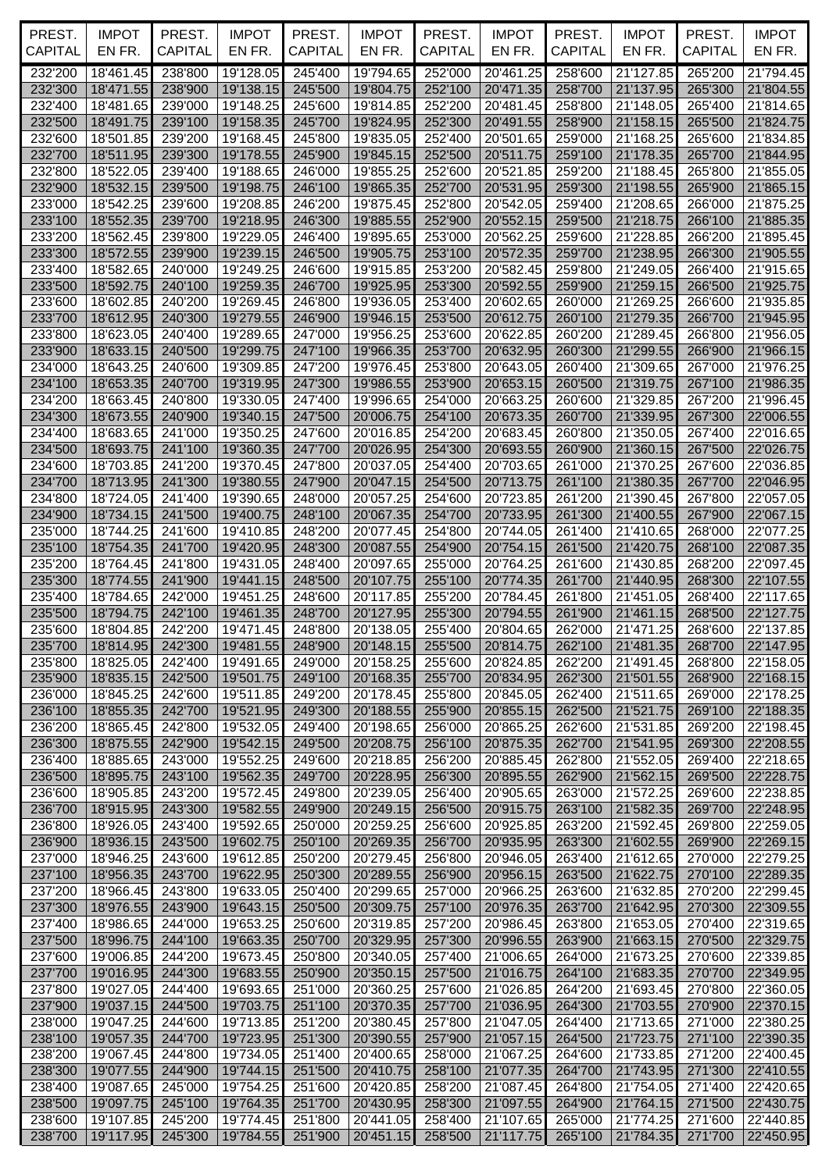| PREST.<br><b>CAPITAL</b> | <b>IMPOT</b><br>EN FR.        | PREST.<br><b>CAPITAL</b> | <b>IMPOT</b><br>EN FR. | PREST.<br><b>CAPITAL</b> | <b>IMPOT</b><br>EN FR.    | PREST.<br>CAPITAL  | <b>IMPOT</b><br>EN FR. | PREST.<br><b>CAPITAL</b> | <b>IMPOT</b><br>EN FR.    | PREST.<br><b>CAPITAL</b> | <b>IMPOT</b><br>EN FR. |
|--------------------------|-------------------------------|--------------------------|------------------------|--------------------------|---------------------------|--------------------|------------------------|--------------------------|---------------------------|--------------------------|------------------------|
|                          |                               |                          |                        |                          |                           |                    |                        |                          |                           |                          |                        |
| 232'200<br>232'300       | 18'461.45<br>18'471.55        | 238'800<br>238'900       | 19'128.05<br>19'138.15 | 245'400<br>245'500       | 19'794.65<br>19'804.75    | 252'000<br>252'100 | 20'461.25<br>20'471.35 | 258'600<br>258'700       | 21'127.85<br>21'137.95    | 265'200<br>265'300       | 21'794.45<br>21'804.55 |
| 232'400                  | 18'481.65                     | 239'000                  | 19'148.25              | 245'600                  | 19'814.85                 | 252'200            | 20'481.45              | 258'800                  | 21'148.05                 | 265'400                  | 21'814.65              |
| 232'500                  | 18'491.75                     | 239'100                  | 19'158.35              | 245'700                  | 19'824.95                 | 252'300            | 20'491.55              | 258'900                  | 21'158.15                 | 265'500                  | 21'824.75              |
| 232'600                  | 18'501.85                     | 239'200                  | 19'168.45              | 245'800                  | 19'835.05                 | 252'400            | 20'501.65              | 259'000                  | 21'168.25                 | 265'600                  | 21'834.85              |
| 232'700                  | 18'511.95                     | 239'300                  | 19'178.55              | 245'900                  | 19'845.15                 | 252'500            | 20'511.75              | 259'100                  | 21'178.35                 | 265'700                  | 21'844.95              |
| 232'800                  | 18'522.05                     | 239'400                  | 19'188.65              | 246'000                  | 19'855.25                 | 252'600            | 20'521.85              | 259'200                  | 21'188.45                 | 265'800                  | 21'855.05              |
| 232'900                  | 18'532.15                     | 239'500                  | 19'198.75              | 246'100                  | 19'865.35                 | 252'700            | 20'531.95<br>20'542.05 | 259'300<br>259'400       | 21'198.55                 | 265'900                  | 21'865.15              |
| 233'000<br>233'100       | 18'542.25<br>18'552.35        | 239'600<br>239'700       | 19'208.85<br>19'218.95 | 246'200<br>246'300       | 19'875.45<br>19'885.55    | 252'800<br>252'900 | 20'552.15              | 259'500                  | 21'208.65<br>21'218.75    | 266'000<br>266'100       | 21'875.25<br>21'885.35 |
| 233'200                  | 18'562.45                     | 239'800                  | 19'229.05              | 246'400                  | 19'895.65                 | 253'000            | 20'562.25              | 259'600                  | 21'228.85                 | 266'200                  | 21'895.45              |
| 233'300                  | 18'572.55                     | 239'900                  | 19'239.15              | 246'500                  | 19'905.75                 | 253'100            | 20'572.35              | 259'700                  | 21'238.95                 | 266'300                  | 21'905.55              |
| 233'400                  | 18'582.65                     | 240'000                  | 19'249.25              | 246'600                  | 19'915.85                 | 253'200            | 20'582.45              | 259'800                  | 21'249.05                 | 266'400                  | 21'915.65              |
| 233'500                  | 18'592.75                     | 240'100                  | 19'259.35              | 246'700                  | 19'925.95                 | 253'300            | 20'592.55              | 259'900                  | 21'259.15                 | 266'500                  | 21'925.75              |
| 233'600                  | 18'602.85                     | 240'200                  | 19'269.45              | 246'800                  | 19'936.05                 | 253'400            | 20'602.65              | 260'000                  | 21'269.25                 | 266'600                  | 21'935.85              |
| 233'700                  | 18'612.95                     | 240'300                  | 19'279.55              | 246'900                  | 19'946.15                 | 253'500            | 20'612.75              | 260'100                  | 21'279.35                 | 266'700                  | 21'945.95              |
| 233'800<br>233'900       | 18'623.05<br>18'633.15        | 240'400<br>240'500       | 19'289.65<br>19'299.75 | 247'000<br>247'100       | 19'956.25<br>19'966.35    | 253'600<br>253'700 | 20'622.85<br>20'632.95 | 260'200<br>260'300       | 21'289.45<br>21'299.55    | 266'800<br>266'900       | 21'956.05<br>21'966.15 |
| 234'000                  | 18'643.25                     | 240'600                  | 19'309.85              | 247'200                  | 19'976.45                 | 253'800            | 20'643.05              | 260'400                  | 21'309.65                 | 267'000                  | 21'976.25              |
| 234'100                  | 18'653.35                     | 240'700                  | 19'319.95              | 247'300                  | 19'986.55                 | 253'900            | 20'653.15              | 260'500                  | 21'319.75                 | 267'100                  | 21'986.35              |
| 234'200                  | 18'663.45                     | 240'800                  | 19'330.05              | 247'400                  | 19'996.65                 | 254'000            | 20'663.25              | 260'600                  | 21'329.85                 | 267'200                  | 21'996.45              |
| 234'300                  | 18'673.55                     | 240'900                  | 19'340.15              | 247'500                  | 20'006.75                 | 254'100            | 20'673.35              | 260'700                  | 21'339.95                 | 267'300                  | 22'006.55              |
| 234'400                  | 18'683.65                     | 241'000                  | 19'350.25              | 247'600                  | 20'016.85                 | 254'200            | 20'683.45              | 260'800                  | 21'350.05                 | 267'400                  | 22'016.65              |
| 234'500                  | 18'693.75                     | 241'100                  | 19'360.35              | 247'700                  | 20'026.95                 | 254'300            | 20'693.55              | 260'900                  | 21'360.15                 | 267'500                  | 22'026.75              |
| 234'600<br>234'700       | 18'703.85<br>18'713.95        | 241'200<br>241'300       | 19'370.45<br>19'380.55 | 247'800<br>247'900       | 20'037.05<br>20'047.15    | 254'400<br>254'500 | 20'703.65<br>20'713.75 | 261'000<br>261'100       | 21'370.25<br>21'380.35    | 267'600<br>267'700       | 22'036.85<br>22'046.95 |
| 234'800                  | 18'724.05                     | 241'400                  | 19'390.65              | 248'000                  | 20'057.25                 | 254'600            | 20'723.85              | 261'200                  | 21'390.45                 | 267'800                  | 22'057.05              |
| 234'900                  | 18'734.15                     | 241'500                  | 19'400.75              | 248'100                  | 20'067.35                 | 254'700            | 20'733.95              | 261'300                  | 21'400.55                 | 267'900                  | 22'067.15              |
| 235'000                  | 18'744.25                     | 241'600                  | 19'410.85              | 248'200                  | 20'077.45                 | 254'800            | 20'744.05              | 261'400                  | 21'410.65                 | 268'000                  | 22'077.25              |
| 235'100                  | 18'754.35                     | 241'700                  | 19'420.95              | 248'300                  | 20'087.55                 | 254'900            | 20'754.15              | 261'500                  | 21'420.75                 | 268'100                  | 22'087.35              |
| 235'200                  | 18'764.45                     | 241'800                  | 19'431.05              | 248'400                  | 20'097.65                 | 255'000            | 20'764.25              | 261'600                  | 21'430.85                 | 268'200                  | 22'097.45              |
| 235'300                  | 18'774.55                     | 241'900                  | 19'441.15              | 248'500                  | 20'107.75                 | 255'100            | 20'774.35              | 261'700                  | 21'440.95                 | 268'300                  | 22'107.55              |
| 235'400<br>235'500       | 18'784.65                     | 242'000<br>242'100       | 19'451.25              | 248'600<br>248'700       | 20'117.85                 | 255'200            | 20'784.45<br>20'794.55 | 261'800                  | 21'451.05                 | 268'400                  | 22'117.65              |
| 235'600                  | 18'794.75<br>18'804.85        | 242'200                  | 19'461.35<br>19'471.45 | 248'800                  | 20'127.95<br>20'138.05    | 255'300<br>255'400 | 20'804.65              | 261'900<br>262'000       | 21'461.15<br>21'471.25    | 268'500<br>268'600       | 22'127.75<br>22'137.85 |
|                          | 235'700   18'814.95   242'300 |                          | 19'481.55              |                          | 248'900 20'148.15 255'500 |                    | 20'814.75              |                          | 262'100 21'481.35 268'700 |                          | 22'147.95              |
| 235'800                  | 18'825.05                     | 242'400                  | 19'491.65              | 249'000                  | 20'158.25                 | 255'600            | 20'824.85              | 262'200                  | 21'491.45                 | 268'800                  | 22'158.05              |
| 235'900                  | 18'835.15                     | 242'500                  | 19'501.75              | 249'100                  | 20'168.35                 | 255'700            | 20'834.95              | 262'300                  | 21'501.55                 | 268'900                  | 22'168.15              |
| 236'000                  | 18'845.25                     | 242'600                  | 19'511.85              | 249'200                  | 20'178.45                 | 255'800            | 20'845.05              | 262'400                  | 21'511.65                 | 269'000                  | 22'178.25              |
| 236'100                  | 18'855.35                     | 242'700                  | 19'521.95              | 249'300                  | 20'188.55                 | 255'900            | 20'855.15              | 262'500                  | 21'521.75                 | 269'100                  | 22'188.35              |
| 236'200                  | 18'865.45                     | 242'800                  | 19'532.05              | 249'400                  | 20'198.65                 | 256'000            | 20'865.25              | 262'600                  | 21'531.85                 | 269'200                  | 22'198.45              |
| 236'300                  | 18'875.55                     | 242'900                  | 19'542.15              | 249'500                  | 20'208.75                 | 256'100            | 20'875.35              | 262'700                  | 21'541.95                 | 269'300                  | 22'208.55              |
| 236'400<br>236'500       | 18'885.65<br>18'895.75        | 243'000<br>243'100       | 19'552.25<br>19'562.35 | 249'600<br>249'700       | 20'218.85<br>20'228.95    | 256'200<br>256'300 | 20'885.45<br>20'895.55 | 262'800<br>262'900       | 21'552.05<br>21'562.15    | 269'400<br>269'500       | 22'218.65<br>22'228.75 |
| 236'600                  | 18'905.85                     | 243'200                  | 19'572.45              | 249'800                  | 20'239.05                 | 256'400            | 20'905.65              | 263'000                  | 21'572.25                 | 269'600                  | 22'238.85              |
| 236'700                  | 18'915.95                     | 243'300                  | 19'582.55              | 249'900                  | 20'249.15                 | 256'500            | 20'915.75              | 263'100                  | 21'582.35                 | 269'700                  | 22'248.95              |
| 236'800                  | 18'926.05                     | 243'400                  | 19'592.65              | 250'000                  | 20'259.25                 | 256'600            | 20'925.85              | 263'200                  | 21'592.45                 | 269'800                  | 22'259.05              |
| 236'900                  | 18'936.15                     | 243'500                  | 19'602.75              | 250'100                  | 20'269.35                 | 256'700            | 20'935.95              | 263'300                  | 21'602.55                 | 269'900                  | 22'269.15              |
| 237'000                  | 18'946.25                     | 243'600                  | 19'612.85              | 250'200                  | 20'279.45                 | 256'800            | 20'946.05              | 263'400                  | 21'612.65                 | 270'000                  | 22'279.25              |
| 237'100                  | 18'956.35                     | 243'700                  | 19'622.95              | 250'300                  | 20'289.55                 | 256'900            | 20'956.15              | 263'500                  | 21'622.75                 | 270'100                  | 22'289.35              |
| 237'200                  | 18'966.45                     | 243'800                  | 19'633.05              | 250'400                  | 20'299.65                 | 257'000            | 20'966.25              | 263'600                  | 21'632.85                 | 270'200                  | 22'299.45              |
| 237'300<br>237'400       | 18'976.55                     | 243'900<br>244'000       | 19'643.15<br>19'653.25 | 250'500<br>250'600       | 20'309.75<br>20'319.85    | 257'100<br>257'200 | 20'976.35<br>20'986.45 | 263'700<br>263'800       | 21'642.95<br>21'653.05    | 270'300                  | 22'309.55              |
| 237'500                  | 18'986.65<br>18'996.75        | 244'100                  | 19'663.35              | 250'700                  | 20'329.95                 | 257'300            | 20'996.55              | 263'900                  | 21'663.15                 | 270'400<br>270'500       | 22'319.65<br>22'329.75 |
| 237'600                  | 19'006.85                     | 244'200                  | 19'673.45              | 250'800                  | 20'340.05                 | 257'400            | 21'006.65              | 264'000                  | 21'673.25                 | 270'600                  | 22'339.85              |
| 237'700                  | 19'016.95                     | 244'300                  | 19'683.55              | 250'900                  | 20'350.15                 | 257'500            | 21'016.75              | 264'100                  | 21'683.35                 | 270'700                  | 22'349.95              |
| 237'800                  | 19'027.05                     | 244'400                  | 19'693.65              | 251'000                  | 20'360.25                 | 257'600            | 21'026.85              | 264'200                  | 21'693.45                 | 270'800                  | 22'360.05              |
| 237'900                  | 19'037.15                     | 244'500                  | 19'703.75              | 251'100                  | 20'370.35                 | 257'700            | 21'036.95              | 264'300                  | 21'703.55                 | 270'900                  | 22'370.15              |
| 238'000                  | 19'047.25                     | 244'600                  | 19'713.85              | 251'200                  | 20'380.45                 | 257'800            | 21'047.05              | 264'400                  | 21'713.65                 | 271'000                  | 22'380.25              |
| 238'100                  | 19'057.35                     | 244'700                  | 19'723.95              | 251'300                  | 20'390.55                 | 257'900            | 21'057.15              | 264'500                  | 21'723.75                 | 271'100                  | 22'390.35              |
| 238'200                  | 19'067.45                     | 244'800                  | 19'734.05              | 251'400                  | 20'400.65                 | 258'000            | 21'067.25              | 264'600                  | 21'733.85                 | 271'200                  | 22'400.45              |
| 238'300                  | 19'077.55                     | 244'900                  | 19'744.15              | 251'500                  | 20'410.75                 | 258'100            | 21'077.35              | 264'700                  | 21'743.95                 | 271'300                  | 22'410.55              |
| 238'400<br>238'500       | 19'087.65<br>19'097.75        | 245'000<br>245'100       | 19'754.25<br>19'764.35 | 251'600<br>251'700       | 20'420.85<br>20'430.95    | 258'200<br>258'300 | 21'087.45<br>21'097.55 | 264'800<br>264'900       | 21'754.05<br>21'764.15    | 271'400<br>271'500       | 22'420.65<br>22'430.75 |
| 238'600                  | 19'107.85                     | 245'200                  | 19'774.45              | 251'800                  | 20'441.05                 | 258'400            | 21'107.65              | 265'000                  | 21'774.25                 | 271'600                  | 22'440.85              |
| 238'700                  | 19'117.95                     | 245'300                  | 19'784.55              | 251'900                  | 20'451.15 258'500         |                    | 21'117.75              | 265'100                  | 21'784.35                 | 271'700                  | 22'450.95              |